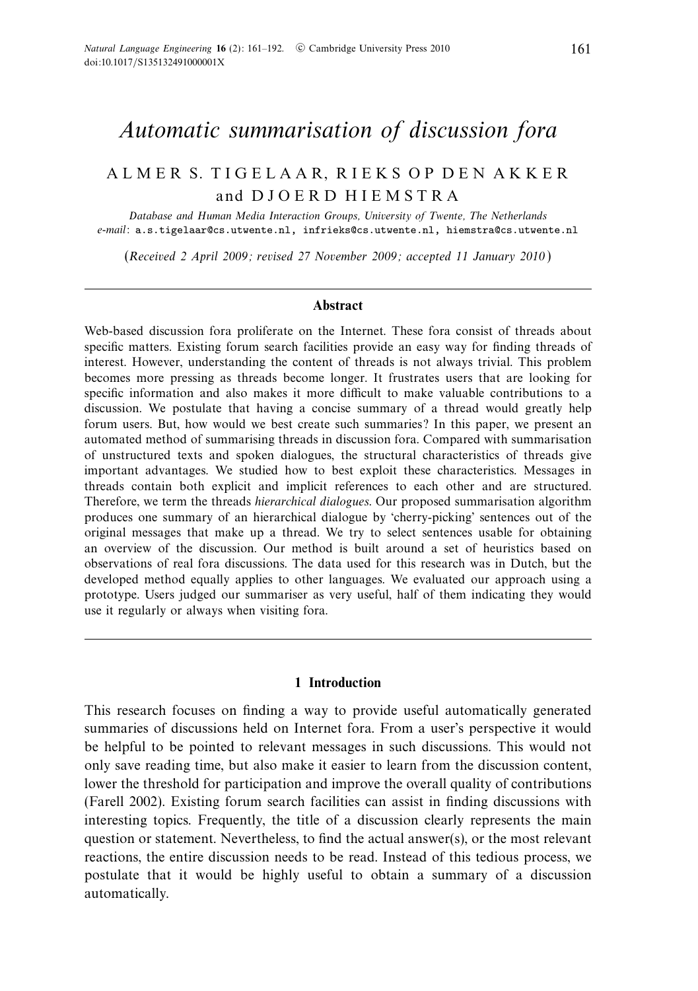# Automatic summarisation of discussion fora

# A LM E R S. T I G E L A A R, R I E K S O P D E N A K K E R and D J O E R D H I EM S T R A

Database and Human Media Interaction Groups, University of Twente, The Netherlands e-mail: a.s.tigelaar@cs.utwente.nl, infrieks@cs.utwente.nl, hiemstra@cs.utwente.nl

(Received 2 April 2009; revised 27 November 2009; accepted 11 January 2010 )

#### **Abstract**

Web-based discussion fora proliferate on the Internet. These fora consist of threads about specific matters. Existing forum search facilities provide an easy way for finding threads of interest. However, understanding the content of threads is not always trivial. This problem becomes more pressing as threads become longer. It frustrates users that are looking for specific information and also makes it more difficult to make valuable contributions to a discussion. We postulate that having a concise summary of a thread would greatly help forum users. But, how would we best create such summaries? In this paper, we present an automated method of summarising threads in discussion fora. Compared with summarisation of unstructured texts and spoken dialogues, the structural characteristics of threads give important advantages. We studied how to best exploit these characteristics. Messages in threads contain both explicit and implicit references to each other and are structured. Therefore, we term the threads hierarchical dialogues. Our proposed summarisation algorithm produces one summary of an hierarchical dialogue by 'cherry-picking' sentences out of the original messages that make up a thread. We try to select sentences usable for obtaining an overview of the discussion. Our method is built around a set of heuristics based on observations of real fora discussions. The data used for this research was in Dutch, but the developed method equally applies to other languages. We evaluated our approach using a prototype. Users judged our summariser as very useful, half of them indicating they would use it regularly or always when visiting fora.

#### **1 Introduction**

This research focuses on finding a way to provide useful automatically generated summaries of discussions held on Internet fora. From a user's perspective it would be helpful to be pointed to relevant messages in such discussions. This would not only save reading time, but also make it easier to learn from the discussion content, lower the threshold for participation and improve the overall quality of contributions (Farell 2002). Existing forum search facilities can assist in finding discussions with interesting topics. Frequently, the title of a discussion clearly represents the main question or statement. Nevertheless, to find the actual answer(s), or the most relevant reactions, the entire discussion needs to be read. Instead of this tedious process, we postulate that it would be highly useful to obtain a summary of a discussion automatically.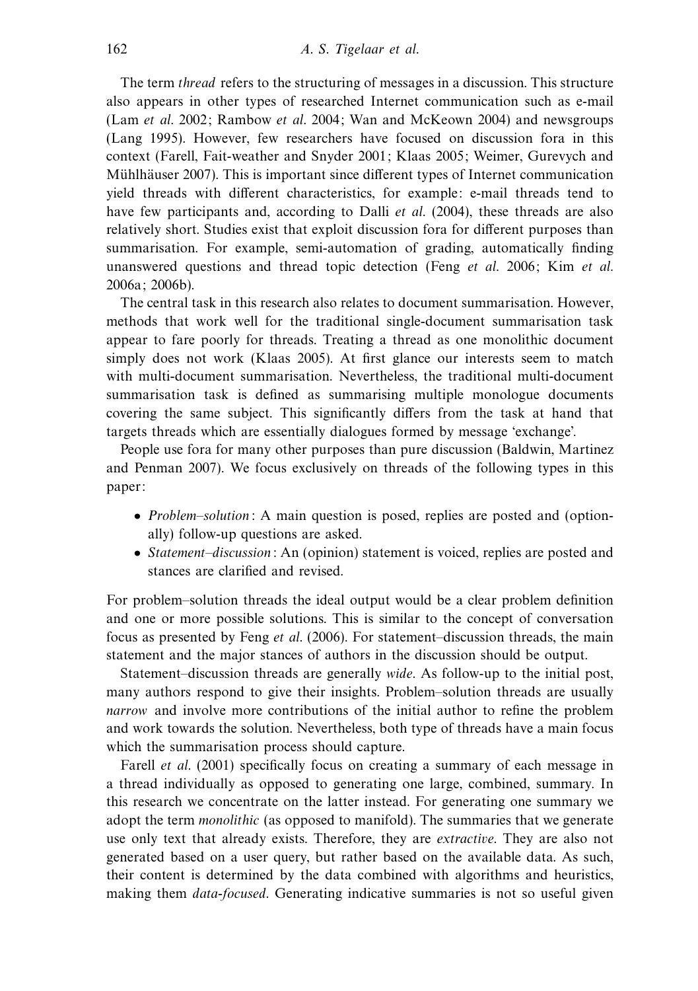The term thread refers to the structuring of messages in a discussion. This structure also appears in other types of researched Internet communication such as e-mail (Lam et al. 2002; Rambow et al. 2004; Wan and McKeown 2004) and newsgroups (Lang 1995). However, few researchers have focused on discussion fora in this context (Farell, Fait-weather and Snyder 2001; Klaas 2005; Weimer, Gurevych and Mühlhäuser 2007). This is important since different types of Internet communication yield threads with different characteristics, for example: e-mail threads tend to have few participants and, according to Dalli *et al.* (2004), these threads are also relatively short. Studies exist that exploit discussion fora for different purposes than summarisation. For example, semi-automation of grading, automatically finding unanswered questions and thread topic detection (Feng et al. 2006; Kim et al. 2006a; 2006b).

The central task in this research also relates to document summarisation. However, methods that work well for the traditional single-document summarisation task appear to fare poorly for threads. Treating a thread as one monolithic document simply does not work (Klaas 2005). At first glance our interests seem to match with multi-document summarisation. Nevertheless, the traditional multi-document summarisation task is defined as summarising multiple monologue documents covering the same subject. This significantly differs from the task at hand that targets threads which are essentially dialogues formed by message 'exchange'.

People use fora for many other purposes than pure discussion (Baldwin, Martinez and Penman 2007). We focus exclusively on threads of the following types in this paper:

- Problem–solution: A main question is posed, replies are posted and (optionally) follow-up questions are asked.
- Statement–discussion: An (opinion) statement is voiced, replies are posted and stances are clarified and revised.

For problem–solution threads the ideal output would be a clear problem definition and one or more possible solutions. This is similar to the concept of conversation focus as presented by Feng et al. (2006). For statement–discussion threads, the main statement and the major stances of authors in the discussion should be output.

Statement–discussion threads are generally wide. As follow-up to the initial post, many authors respond to give their insights. Problem–solution threads are usually narrow and involve more contributions of the initial author to refine the problem and work towards the solution. Nevertheless, both type of threads have a main focus which the summarisation process should capture.

Farell *et al.* (2001) specifically focus on creating a summary of each message in a thread individually as opposed to generating one large, combined, summary. In this research we concentrate on the latter instead. For generating one summary we adopt the term monolithic (as opposed to manifold). The summaries that we generate use only text that already exists. Therefore, they are extractive. They are also not generated based on a user query, but rather based on the available data. As such, their content is determined by the data combined with algorithms and heuristics, making them *data-focused*. Generating indicative summaries is not so useful given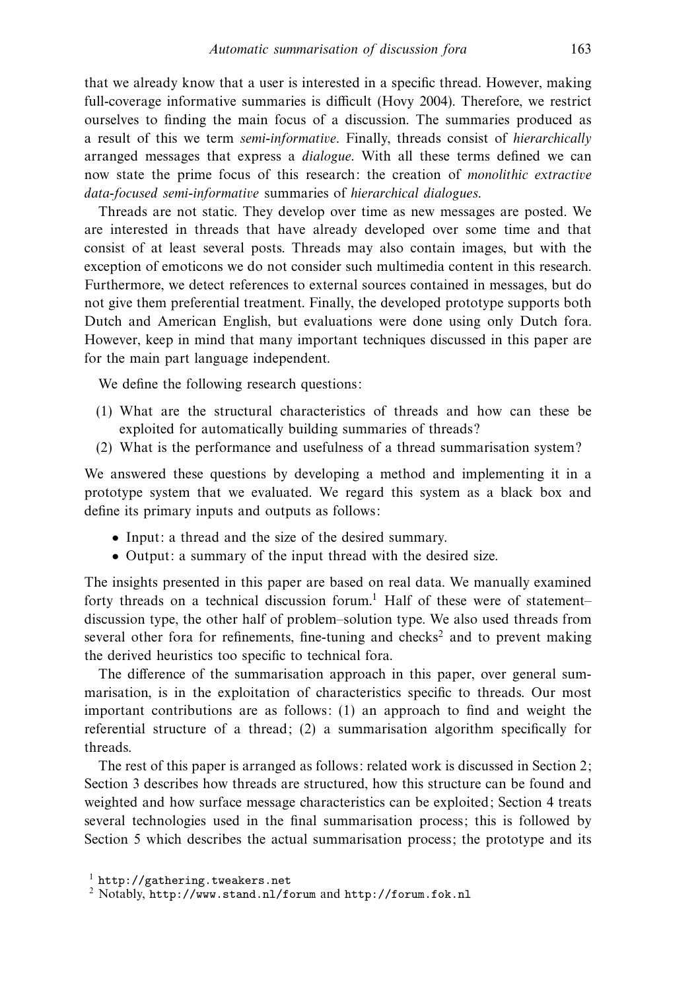that we already know that a user is interested in a specific thread. However, making full-coverage informative summaries is difficult (Hovy 2004). Therefore, we restrict ourselves to finding the main focus of a discussion. The summaries produced as a result of this we term semi-informative. Finally, threads consist of hierarchically arranged messages that express a dialogue. With all these terms defined we can now state the prime focus of this research: the creation of monolithic extractive data-focused semi-informative summaries of hierarchical dialogues.

Threads are not static. They develop over time as new messages are posted. We are interested in threads that have already developed over some time and that consist of at least several posts. Threads may also contain images, but with the exception of emoticons we do not consider such multimedia content in this research. Furthermore, we detect references to external sources contained in messages, but do not give them preferential treatment. Finally, the developed prototype supports both Dutch and American English, but evaluations were done using only Dutch fora. However, keep in mind that many important techniques discussed in this paper are for the main part language independent.

We define the following research questions:

- (1) What are the structural characteristics of threads and how can these be exploited for automatically building summaries of threads?
- (2) What is the performance and usefulness of a thread summarisation system?

We answered these questions by developing a method and implementing it in a prototype system that we evaluated. We regard this system as a black box and define its primary inputs and outputs as follows:

- Input: a thread and the size of the desired summary.
- Output: a summary of the input thread with the desired size.

The insights presented in this paper are based on real data. We manually examined forty threads on a technical discussion forum.<sup>1</sup> Half of these were of statement– discussion type, the other half of problem–solution type. We also used threads from several other fora for refinements, fine-tuning and checks<sup>2</sup> and to prevent making the derived heuristics too specific to technical fora.

The difference of the summarisation approach in this paper, over general summarisation, is in the exploitation of characteristics specific to threads. Our most important contributions are as follows: (1) an approach to find and weight the referential structure of a thread; (2) a summarisation algorithm specifically for threads.

The rest of this paper is arranged as follows: related work is discussed in Section 2; Section 3 describes how threads are structured, how this structure can be found and weighted and how surface message characteristics can be exploited; Section 4 treats several technologies used in the final summarisation process; this is followed by Section 5 which describes the actual summarisation process; the prototype and its

<sup>&</sup>lt;sup>1</sup> http://gathering.tweakers.net

<sup>2</sup> Notably, http://www.stand.nl/forum and http://forum.fok.nl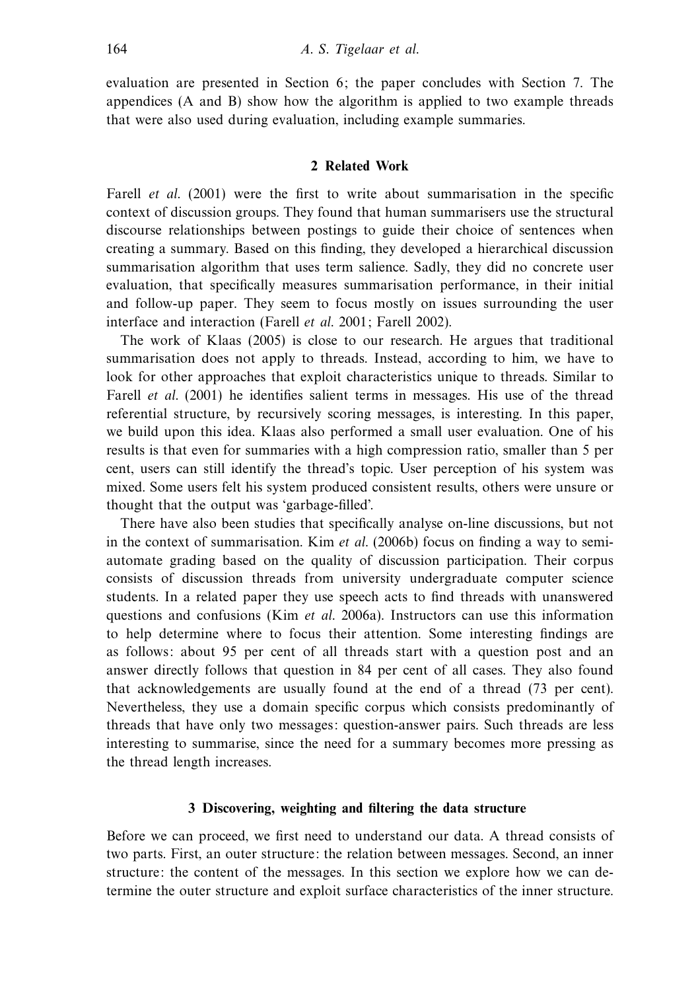evaluation are presented in Section 6; the paper concludes with Section 7. The appendices (A and B) show how the algorithm is applied to two example threads that were also used during evaluation, including example summaries.

# **2 Related Work**

Farell et al. (2001) were the first to write about summarisation in the specific context of discussion groups. They found that human summarisers use the structural discourse relationships between postings to guide their choice of sentences when creating a summary. Based on this finding, they developed a hierarchical discussion summarisation algorithm that uses term salience. Sadly, they did no concrete user evaluation, that specifically measures summarisation performance, in their initial and follow-up paper. They seem to focus mostly on issues surrounding the user interface and interaction (Farell et al. 2001; Farell 2002).

The work of Klaas (2005) is close to our research. He argues that traditional summarisation does not apply to threads. Instead, according to him, we have to look for other approaches that exploit characteristics unique to threads. Similar to Farell et al. (2001) he identifies salient terms in messages. His use of the thread referential structure, by recursively scoring messages, is interesting. In this paper, we build upon this idea. Klaas also performed a small user evaluation. One of his results is that even for summaries with a high compression ratio, smaller than 5 per cent, users can still identify the thread's topic. User perception of his system was mixed. Some users felt his system produced consistent results, others were unsure or thought that the output was 'garbage-filled'.

There have also been studies that specifically analyse on-line discussions, but not in the context of summarisation. Kim *et al.* (2006b) focus on finding a way to semiautomate grading based on the quality of discussion participation. Their corpus consists of discussion threads from university undergraduate computer science students. In a related paper they use speech acts to find threads with unanswered questions and confusions (Kim *et al.* 2006a). Instructors can use this information to help determine where to focus their attention. Some interesting findings are as follows: about 95 per cent of all threads start with a question post and an answer directly follows that question in 84 per cent of all cases. They also found that acknowledgements are usually found at the end of a thread (73 per cent). Nevertheless, they use a domain specific corpus which consists predominantly of threads that have only two messages: question-answer pairs. Such threads are less interesting to summarise, since the need for a summary becomes more pressing as the thread length increases.

#### **3 Discovering, weighting and filtering the data structure**

Before we can proceed, we first need to understand our data. A thread consists of two parts. First, an outer structure: the relation between messages. Second, an inner structure: the content of the messages. In this section we explore how we can determine the outer structure and exploit surface characteristics of the inner structure.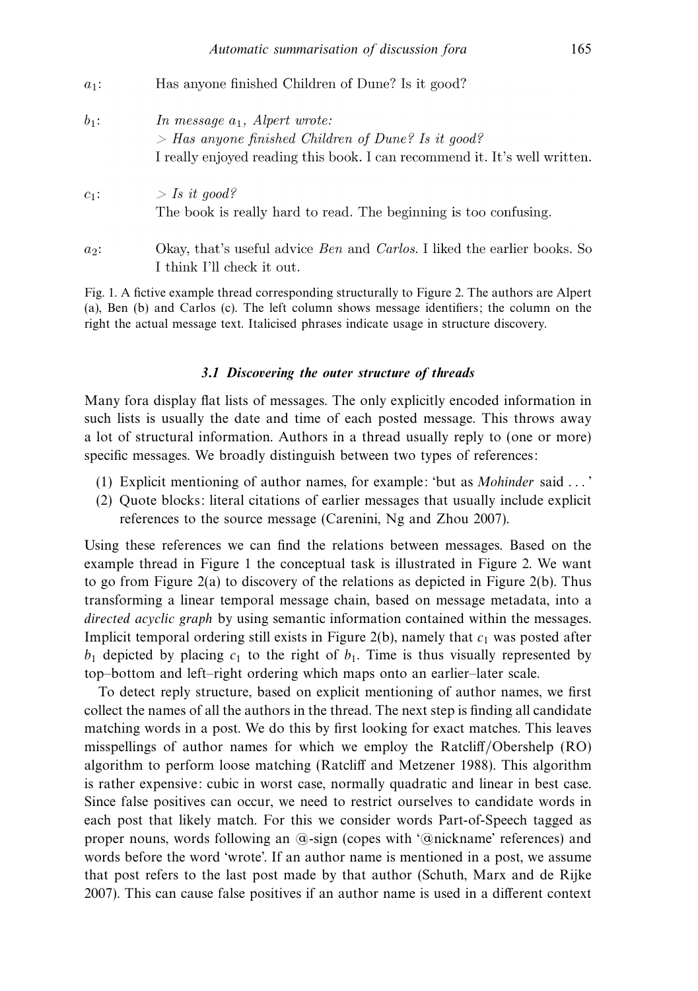| $a_1$ : | Has anyone finished Children of Dune? Is it good?                                                                                                                       |
|---------|-------------------------------------------------------------------------------------------------------------------------------------------------------------------------|
| $b_1$ : | In message $a_1$ , Alpert wrote:<br>$>$ Has anyone finished Children of Dune? Is it good?<br>I really enjoyed reading this book. I can recommend it. It's well written. |
| $c_1$ : | $>$ Is it good?<br>The book is really hard to read. The beginning is too confusing.                                                                                     |
| $a_2$ : | Okay, that's useful advice <i>Ben</i> and <i>Carlos</i> . I liked the earlier books. So<br>I think I'll check it out.                                                   |

Fig. 1. A fictive example thread corresponding structurally to Figure 2. The authors are Alpert (a), Ben (b) and Carlos (c). The left column shows message identifiers; the column on the right the actual message text. Italicised phrases indicate usage in structure discovery.

## *3.1 Discovering the outer structure of threads*

Many fora display flat lists of messages. The only explicitly encoded information in such lists is usually the date and time of each posted message. This throws away a lot of structural information. Authors in a thread usually reply to (one or more) specific messages. We broadly distinguish between two types of references:

- (1) Explicit mentioning of author names, for example: 'but as Mohinder said . . . '
- (2) Quote blocks: literal citations of earlier messages that usually include explicit references to the source message (Carenini, Ng and Zhou 2007).

Using these references we can find the relations between messages. Based on the example thread in Figure 1 the conceptual task is illustrated in Figure 2. We want to go from Figure 2(a) to discovery of the relations as depicted in Figure 2(b). Thus transforming a linear temporal message chain, based on message metadata, into a directed acyclic graph by using semantic information contained within the messages. Implicit temporal ordering still exists in Figure  $2(b)$ , namely that  $c_1$  was posted after  $b_1$  depicted by placing  $c_1$  to the right of  $b_1$ . Time is thus visually represented by top–bottom and left–right ordering which maps onto an earlier–later scale.

To detect reply structure, based on explicit mentioning of author names, we first collect the names of all the authors in the thread. The next step is finding all candidate matching words in a post. We do this by first looking for exact matches. This leaves misspellings of author names for which we employ the Ratcliff/Obershelp (RO) algorithm to perform loose matching (Ratcliff and Metzener 1988). This algorithm is rather expensive: cubic in worst case, normally quadratic and linear in best case. Since false positives can occur, we need to restrict ourselves to candidate words in each post that likely match. For this we consider words Part-of-Speech tagged as proper nouns, words following an @-sign (copes with '@nickname' references) and words before the word 'wrote'. If an author name is mentioned in a post, we assume that post refers to the last post made by that author (Schuth, Marx and de Rijke 2007). This can cause false positives if an author name is used in a different context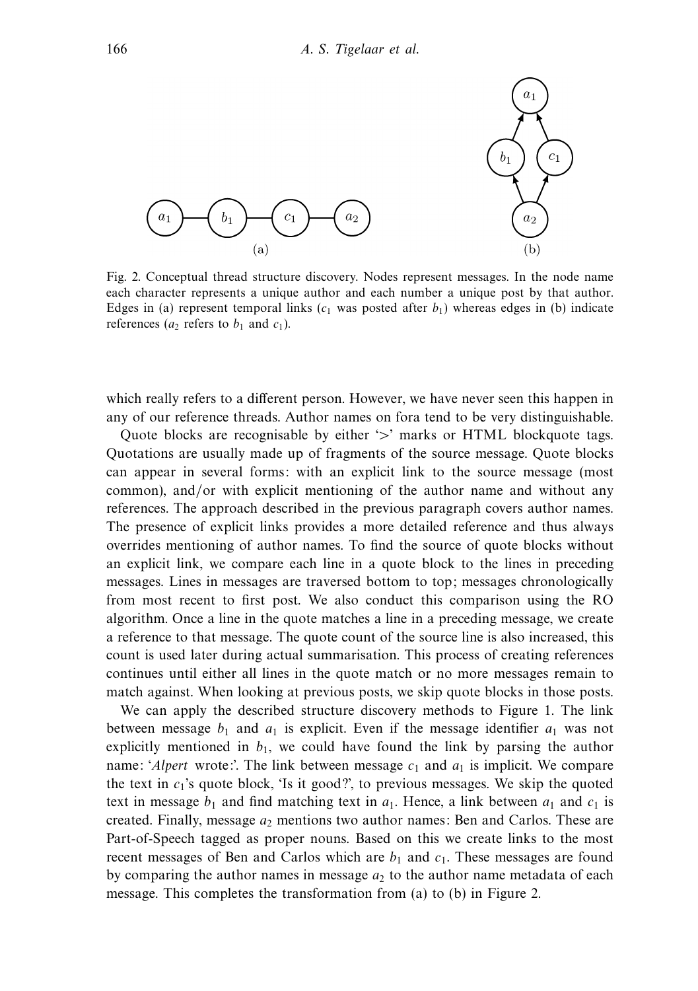

Fig. 2. Conceptual thread structure discovery. Nodes represent messages. In the node name each character represents a unique author and each number a unique post by that author. Edges in (a) represent temporal links  $(c_1$  was posted after  $b_1$ ) whereas edges in (b) indicate references ( $a_2$  refers to  $b_1$  and  $c_1$ ).

which really refers to a different person. However, we have never seen this happen in any of our reference threads. Author names on fora tend to be very distinguishable.

Quote blocks are recognisable by either '*>*' marks or HTML blockquote tags. Quotations are usually made up of fragments of the source message. Quote blocks can appear in several forms: with an explicit link to the source message (most common), and/or with explicit mentioning of the author name and without any references. The approach described in the previous paragraph covers author names. The presence of explicit links provides a more detailed reference and thus always overrides mentioning of author names. To find the source of quote blocks without an explicit link, we compare each line in a quote block to the lines in preceding messages. Lines in messages are traversed bottom to top; messages chronologically from most recent to first post. We also conduct this comparison using the RO algorithm. Once a line in the quote matches a line in a preceding message, we create a reference to that message. The quote count of the source line is also increased, this count is used later during actual summarisation. This process of creating references continues until either all lines in the quote match or no more messages remain to match against. When looking at previous posts, we skip quote blocks in those posts.

We can apply the described structure discovery methods to Figure 1. The link between message  $b_1$  and  $a_1$  is explicit. Even if the message identifier  $a_1$  was not explicitly mentioned in  $b_1$ , we could have found the link by parsing the author name: 'Alpert wrote:'. The link between message  $c_1$  and  $a_1$  is implicit. We compare the text in  $c_1$ 's quote block, 'Is it good?', to previous messages. We skip the quoted text in message  $b_1$  and find matching text in  $a_1$ . Hence, a link between  $a_1$  and  $c_1$  is created. Finally, message  $a_2$  mentions two author names: Ben and Carlos. These are Part-of-Speech tagged as proper nouns. Based on this we create links to the most recent messages of Ben and Carlos which are  $b_1$  and  $c_1$ . These messages are found by comparing the author names in message  $a_2$  to the author name metadata of each message. This completes the transformation from (a) to (b) in Figure 2.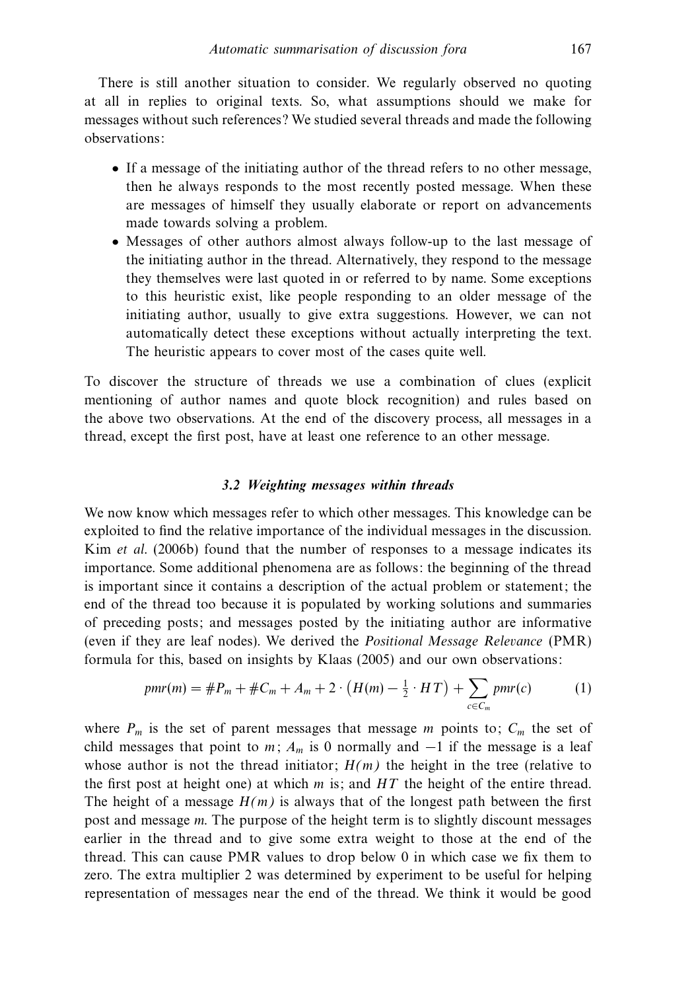There is still another situation to consider. We regularly observed no quoting at all in replies to original texts. So, what assumptions should we make for messages without such references? We studied several threads and made the following observations:

- If a message of the initiating author of the thread refers to no other message, then he always responds to the most recently posted message. When these are messages of himself they usually elaborate or report on advancements made towards solving a problem.
- Messages of other authors almost always follow-up to the last message of the initiating author in the thread. Alternatively, they respond to the message they themselves were last quoted in or referred to by name. Some exceptions to this heuristic exist, like people responding to an older message of the initiating author, usually to give extra suggestions. However, we can not automatically detect these exceptions without actually interpreting the text. The heuristic appears to cover most of the cases quite well.

To discover the structure of threads we use a combination of clues (explicit mentioning of author names and quote block recognition) and rules based on the above two observations. At the end of the discovery process, all messages in a thread, except the first post, have at least one reference to an other message.

## *3.2 Weighting messages within threads*

We now know which messages refer to which other messages. This knowledge can be exploited to find the relative importance of the individual messages in the discussion. Kim *et al.* (2006b) found that the number of responses to a message indicates its importance. Some additional phenomena are as follows: the beginning of the thread is important since it contains a description of the actual problem or statement; the end of the thread too because it is populated by working solutions and summaries of preceding posts; and messages posted by the initiating author are informative (even if they are leaf nodes). We derived the Positional Message Relevance (PMR) formula for this, based on insights by Klaas (2005) and our own observations:

$$
pmr(m) = \#P_m + \#C_m + A_m + 2 \cdot \left(H(m) - \frac{1}{2} \cdot HT\right) + \sum_{c \in C_m} pmr(c) \tag{1}
$$

where  $P_m$  is the set of parent messages that message m points to;  $C_m$  the set of child messages that point to m;  $A_m$  is 0 normally and  $-1$  if the message is a leaf whose author is not the thread initiator;  $H(m)$  the height in the tree (relative to the first post at height one) at which  $m$  is; and  $HT$  the height of the entire thread. The height of a message  $H(m)$  is always that of the longest path between the first post and message m. The purpose of the height term is to slightly discount messages earlier in the thread and to give some extra weight to those at the end of the thread. This can cause PMR values to drop below 0 in which case we fix them to zero. The extra multiplier 2 was determined by experiment to be useful for helping representation of messages near the end of the thread. We think it would be good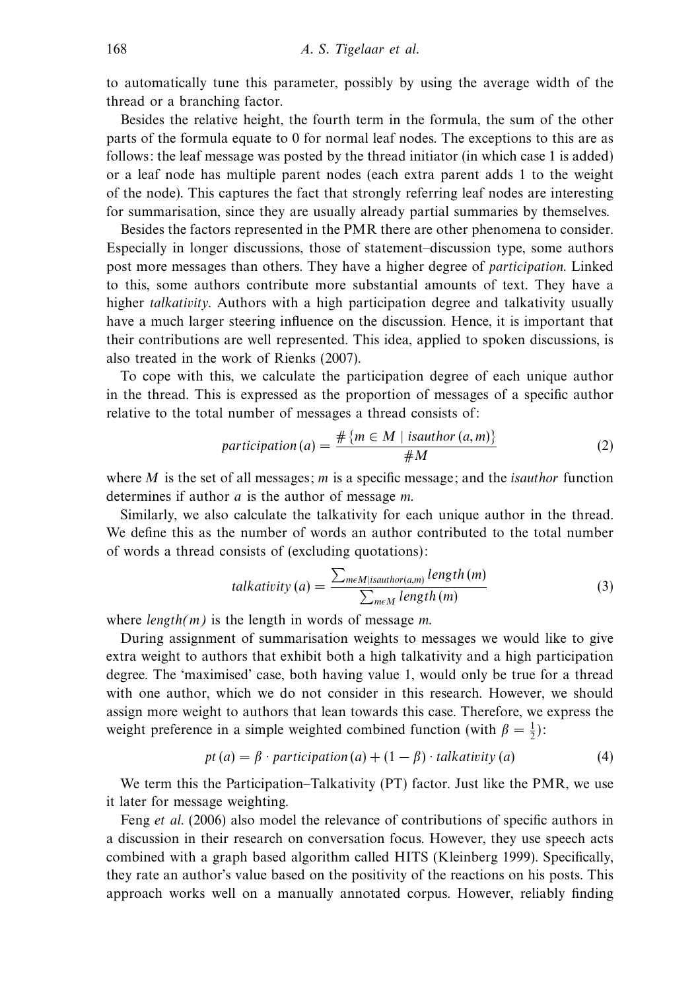to automatically tune this parameter, possibly by using the average width of the thread or a branching factor.

Besides the relative height, the fourth term in the formula, the sum of the other parts of the formula equate to 0 for normal leaf nodes. The exceptions to this are as follows: the leaf message was posted by the thread initiator (in which case 1 is added) or a leaf node has multiple parent nodes (each extra parent adds 1 to the weight of the node). This captures the fact that strongly referring leaf nodes are interesting for summarisation, since they are usually already partial summaries by themselves.

Besides the factors represented in the PMR there are other phenomena to consider. Especially in longer discussions, those of statement–discussion type, some authors post more messages than others. They have a higher degree of participation. Linked to this, some authors contribute more substantial amounts of text. They have a higher talkativity. Authors with a high participation degree and talkativity usually have a much larger steering influence on the discussion. Hence, it is important that their contributions are well represented. This idea, applied to spoken discussions, is also treated in the work of Rienks (2007).

To cope with this, we calculate the participation degree of each unique author in the thread. This is expressed as the proportion of messages of a specific author relative to the total number of messages a thread consists of:

$$
partition(a) = \frac{\# \{m \in M \mid \text{isauthor}(a, m)\}}{\#M}
$$
 (2)

where M is the set of all messages; m is a specific message; and the *isauthor* function determines if author a is the author of message m.

Similarly, we also calculate the talkativity for each unique author in the thread. We define this as the number of words an author contributed to the total number of words a thread consists of (excluding quotations):

$$
talkativity (a) = \frac{\sum_{m \in M| isauthor(a,m)} length(m)}{\sum_{m \in M} length(m)} \tag{3}
$$

where  $length(m)$  is the length in words of message m.

During assignment of summarisation weights to messages we would like to give extra weight to authors that exhibit both a high talkativity and a high participation degree. The 'maximised' case, both having value 1, would only be true for a thread with one author, which we do not consider in this research. However, we should assign more weight to authors that lean towards this case. Therefore, we express the weight preference in a simple weighted combined function (with  $\beta = \frac{1}{2}$ ):

$$
pt (a) = \beta \cdot partition (a) + (1 - \beta) \cdot talkativity (a)
$$
\n(4)

We term this the Participation–Talkativity (PT) factor. Just like the PMR, we use it later for message weighting.

Feng et al. (2006) also model the relevance of contributions of specific authors in a discussion in their research on conversation focus. However, they use speech acts combined with a graph based algorithm called HITS (Kleinberg 1999). Specifically, they rate an author's value based on the positivity of the reactions on his posts. This approach works well on a manually annotated corpus. However, reliably finding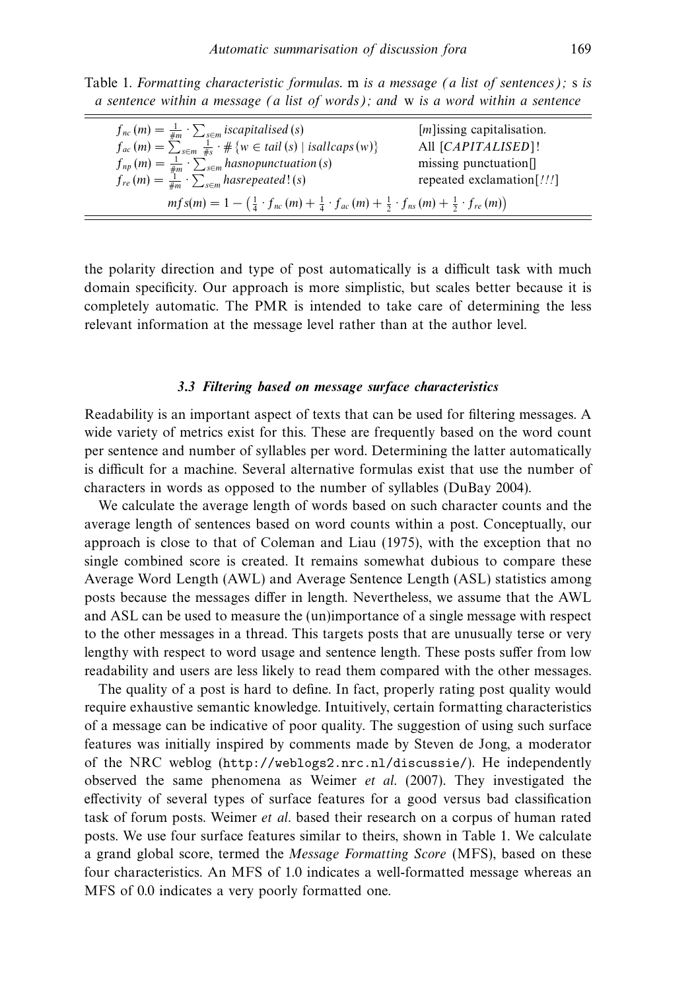| $f_{nc}(m) = \frac{1}{\#m} \cdot \sum_{s \in m}$ iscapitalised (s)<br>$f_{ac}(m) = \sum_{s \in m} \frac{1}{\#s} \cdot \# \{w \in tail(s) \mid isallcaps(w)\}\$ | $[m]$ issing capitalisation.<br>All [CAPITALISED]!                       |
|----------------------------------------------------------------------------------------------------------------------------------------------------------------|--------------------------------------------------------------------------|
| $f_{np}(m) = \frac{1}{\#m} \cdot \sum_{s \in m} has no punctuation(s)$<br>$f_{re}(m) = \frac{r_1}{\#m} \cdot \sum_{s \in m} has repeated!(s)$                  | missing punctuation $\left\vert \right\vert$<br>repeated exclamation[!!] |
| $mfs(m) = 1 - (\frac{1}{4} \cdot f_{nc}(m) + \frac{1}{4} \cdot f_{ac}(m) + \frac{1}{2} \cdot f_{ns}(m) + \frac{1}{2} \cdot f_{re}(m))$                         |                                                                          |

Table 1. Formatting characteristic formulas. m is a message (a list of sentences); s is a sentence within a message (a list of words); and w is a word within a sentence

the polarity direction and type of post automatically is a difficult task with much domain specificity. Our approach is more simplistic, but scales better because it is completely automatic. The PMR is intended to take care of determining the less relevant information at the message level rather than at the author level.

## *3.3 Filtering based on message surface characteristics*

Readability is an important aspect of texts that can be used for filtering messages. A wide variety of metrics exist for this. These are frequently based on the word count per sentence and number of syllables per word. Determining the latter automatically is difficult for a machine. Several alternative formulas exist that use the number of characters in words as opposed to the number of syllables (DuBay 2004).

We calculate the average length of words based on such character counts and the average length of sentences based on word counts within a post. Conceptually, our approach is close to that of Coleman and Liau (1975), with the exception that no single combined score is created. It remains somewhat dubious to compare these Average Word Length (AWL) and Average Sentence Length (ASL) statistics among posts because the messages differ in length. Nevertheless, we assume that the AWL and ASL can be used to measure the (un)importance of a single message with respect to the other messages in a thread. This targets posts that are unusually terse or very lengthy with respect to word usage and sentence length. These posts suffer from low readability and users are less likely to read them compared with the other messages.

The quality of a post is hard to define. In fact, properly rating post quality would require exhaustive semantic knowledge. Intuitively, certain formatting characteristics of a message can be indicative of poor quality. The suggestion of using such surface features was initially inspired by comments made by Steven de Jong, a moderator of the NRC weblog (http://weblogs2.nrc.nl/discussie/). He independently observed the same phenomena as Weimer et al. (2007). They investigated the effectivity of several types of surface features for a good versus bad classification task of forum posts. Weimer et al. based their research on a corpus of human rated posts. We use four surface features similar to theirs, shown in Table 1. We calculate a grand global score, termed the Message Formatting Score (MFS), based on these four characteristics. An MFS of 1.0 indicates a well-formatted message whereas an MFS of 0.0 indicates a very poorly formatted one.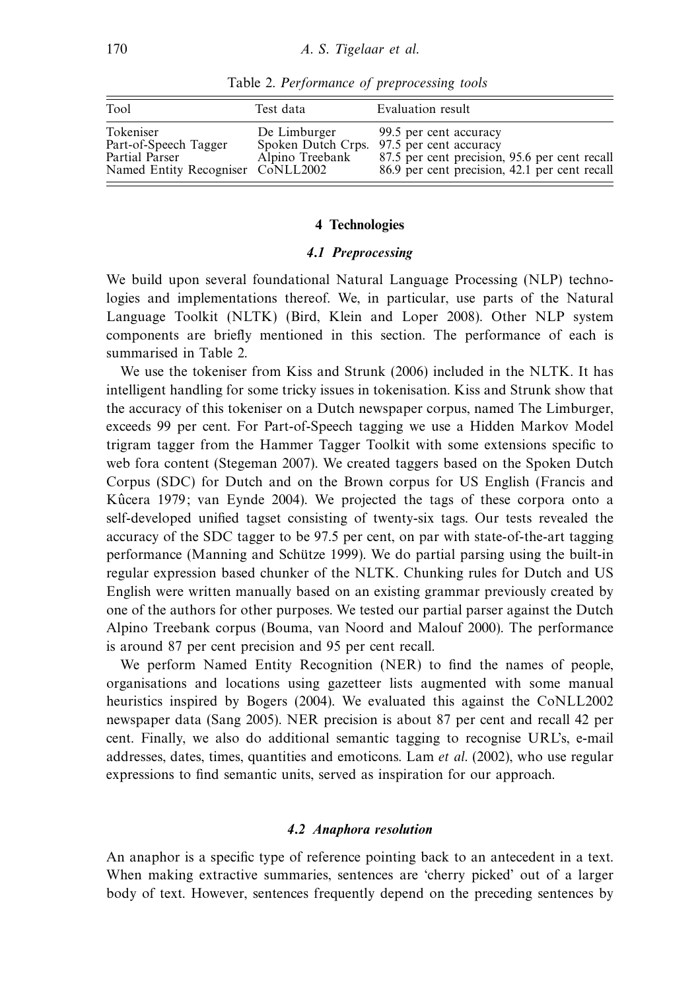| Tool                                                                                      | Test data                       | Evaluation result                                                                                                                                                     |
|-------------------------------------------------------------------------------------------|---------------------------------|-----------------------------------------------------------------------------------------------------------------------------------------------------------------------|
| Tokeniser<br>Part-of-Speech Tagger<br>Partial Parser<br>Named Entity Recogniser CoNLL2002 | De Limburger<br>Alpino Treebank | 99.5 per cent accuracy<br>Spoken Dutch Crps. 97.5 per cent accuracy<br>87.5 per cent precision, 95.6 per cent recall<br>86.9 per cent precision, 42.1 per cent recall |

Table 2. Performance of preprocessing tools

## **4 Technologies**

# *4.1 Preprocessing*

We build upon several foundational Natural Language Processing (NLP) technologies and implementations thereof. We, in particular, use parts of the Natural Language Toolkit (NLTK) (Bird, Klein and Loper 2008). Other NLP system components are briefly mentioned in this section. The performance of each is summarised in Table 2.

We use the tokeniser from Kiss and Strunk (2006) included in the NLTK. It has intelligent handling for some tricky issues in tokenisation. Kiss and Strunk show that the accuracy of this tokeniser on a Dutch newspaper corpus, named The Limburger, exceeds 99 per cent. For Part-of-Speech tagging we use a Hidden Markov Model trigram tagger from the Hammer Tagger Toolkit with some extensions specific to web fora content (Stegeman 2007). We created taggers based on the Spoken Dutch Corpus (SDC) for Dutch and on the Brown corpus for US English (Francis and Kûcera 1979; van Eynde 2004). We projected the tags of these corpora onto a self-developed unified tagset consisting of twenty-six tags. Our tests revealed the accuracy of the SDC tagger to be 97.5 per cent, on par with state-of-the-art tagging performance (Manning and Schütze 1999). We do partial parsing using the built-in regular expression based chunker of the NLTK. Chunking rules for Dutch and US English were written manually based on an existing grammar previously created by one of the authors for other purposes. We tested our partial parser against the Dutch Alpino Treebank corpus (Bouma, van Noord and Malouf 2000). The performance is around 87 per cent precision and 95 per cent recall.

We perform Named Entity Recognition (NER) to find the names of people, organisations and locations using gazetteer lists augmented with some manual heuristics inspired by Bogers (2004). We evaluated this against the CoNLL2002 newspaper data (Sang 2005). NER precision is about 87 per cent and recall 42 per cent. Finally, we also do additional semantic tagging to recognise URL's, e-mail addresses, dates, times, quantities and emoticons. Lam et al. (2002), who use regular expressions to find semantic units, served as inspiration for our approach.

#### *4.2 Anaphora resolution*

An anaphor is a specific type of reference pointing back to an antecedent in a text. When making extractive summaries, sentences are 'cherry picked' out of a larger body of text. However, sentences frequently depend on the preceding sentences by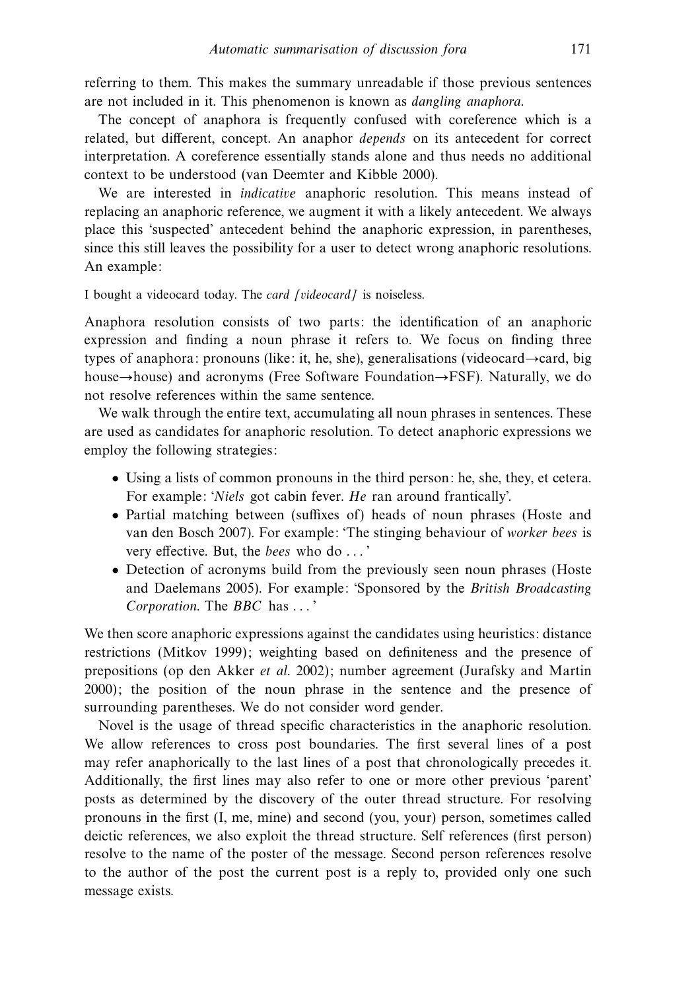referring to them. This makes the summary unreadable if those previous sentences are not included in it. This phenomenon is known as dangling anaphora.

The concept of anaphora is frequently confused with coreference which is a related, but different, concept. An anaphor depends on its antecedent for correct interpretation. A coreference essentially stands alone and thus needs no additional context to be understood (van Deemter and Kibble 2000).

We are interested in indicative anaphoric resolution. This means instead of replacing an anaphoric reference, we augment it with a likely antecedent. We always place this 'suspected' antecedent behind the anaphoric expression, in parentheses, since this still leaves the possibility for a user to detect wrong anaphoric resolutions. An example:

I bought a videocard today. The card [videocard] is noiseless.

Anaphora resolution consists of two parts: the identification of an anaphoric expression and finding a noun phrase it refers to. We focus on finding three types of anaphora: pronouns (like: it, he, she), generalisations (videocard→card, big house→house) and acronyms (Free Software Foundation→FSF). Naturally, we do not resolve references within the same sentence.

We walk through the entire text, accumulating all noun phrases in sentences. These are used as candidates for anaphoric resolution. To detect anaphoric expressions we employ the following strategies:

- Using a lists of common pronouns in the third person: he, she, they, et cetera. For example: 'Niels got cabin fever. He ran around frantically'.
- Partial matching between (suffixes of) heads of noun phrases (Hoste and van den Bosch 2007). For example: 'The stinging behaviour of worker bees is very effective. But, the bees who do . . . '
- Detection of acronyms build from the previously seen noun phrases (Hoste and Daelemans 2005). For example: 'Sponsored by the British Broadcasting Corporation. The BBC has . . . '

We then score anaphoric expressions against the candidates using heuristics: distance restrictions (Mitkov 1999); weighting based on definiteness and the presence of prepositions (op den Akker et al. 2002); number agreement (Jurafsky and Martin 2000); the position of the noun phrase in the sentence and the presence of surrounding parentheses. We do not consider word gender.

Novel is the usage of thread specific characteristics in the anaphoric resolution. We allow references to cross post boundaries. The first several lines of a post may refer anaphorically to the last lines of a post that chronologically precedes it. Additionally, the first lines may also refer to one or more other previous 'parent' posts as determined by the discovery of the outer thread structure. For resolving pronouns in the first (I, me, mine) and second (you, your) person, sometimes called deictic references, we also exploit the thread structure. Self references (first person) resolve to the name of the poster of the message. Second person references resolve to the author of the post the current post is a reply to, provided only one such message exists.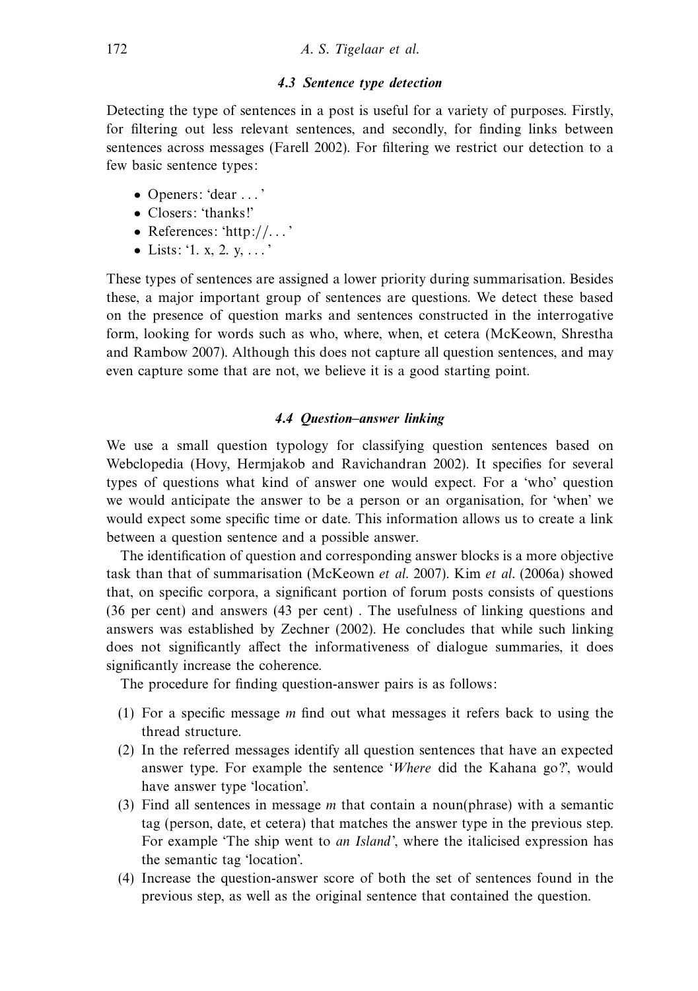## *4.3 Sentence type detection*

Detecting the type of sentences in a post is useful for a variety of purposes. Firstly, for filtering out less relevant sentences, and secondly, for finding links between sentences across messages (Farell 2002). For filtering we restrict our detection to a few basic sentence types:

- Openers: 'dear . . . '
- Closers: 'thanks!'
- References: 'http:// $\dots$ '
- Lists: '1. x, 2. y, ...'

These types of sentences are assigned a lower priority during summarisation. Besides these, a major important group of sentences are questions. We detect these based on the presence of question marks and sentences constructed in the interrogative form, looking for words such as who, where, when, et cetera (McKeown, Shrestha and Rambow 2007). Although this does not capture all question sentences, and may even capture some that are not, we believe it is a good starting point.

## *4.4 Question–answer linking*

We use a small question typology for classifying question sentences based on Webclopedia (Hovy, Hermjakob and Ravichandran 2002). It specifies for several types of questions what kind of answer one would expect. For a 'who' question we would anticipate the answer to be a person or an organisation, for 'when' we would expect some specific time or date. This information allows us to create a link between a question sentence and a possible answer.

The identification of question and corresponding answer blocks is a more objective task than that of summarisation (McKeown et al. 2007). Kim et al. (2006a) showed that, on specific corpora, a significant portion of forum posts consists of questions (36 per cent) and answers (43 per cent) . The usefulness of linking questions and answers was established by Zechner (2002). He concludes that while such linking does not significantly affect the informativeness of dialogue summaries, it does significantly increase the coherence.

The procedure for finding question-answer pairs is as follows:

- (1) For a specific message *m* find out what messages it refers back to using the thread structure.
- (2) In the referred messages identify all question sentences that have an expected answer type. For example the sentence 'Where did the Kahana go?', would have answer type 'location'.
- (3) Find all sentences in message *m* that contain a noun(phrase) with a semantic tag (person, date, et cetera) that matches the answer type in the previous step. For example 'The ship went to an Island', where the italicised expression has the semantic tag 'location'.
- (4) Increase the question-answer score of both the set of sentences found in the previous step, as well as the original sentence that contained the question.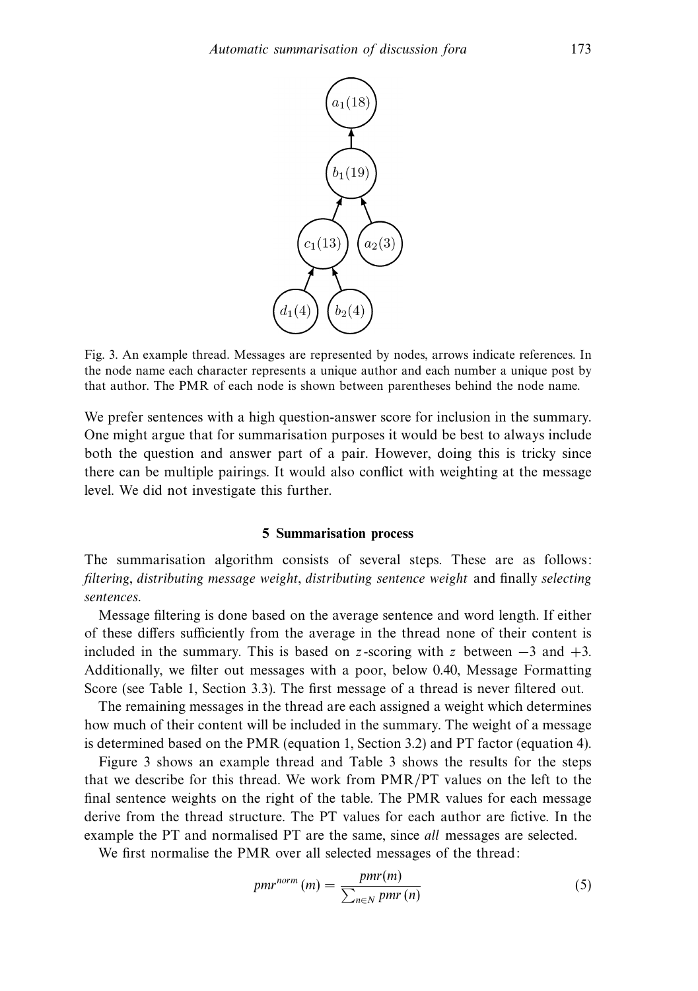

Fig. 3. An example thread. Messages are represented by nodes, arrows indicate references. In the node name each character represents a unique author and each number a unique post by that author. The PMR of each node is shown between parentheses behind the node name.

We prefer sentences with a high question-answer score for inclusion in the summary. One might argue that for summarisation purposes it would be best to always include both the question and answer part of a pair. However, doing this is tricky since there can be multiple pairings. It would also conflict with weighting at the message level. We did not investigate this further.

## **5 Summarisation process**

The summarisation algorithm consists of several steps. These are as follows: filtering, distributing message weight, distributing sentence weight and finally selecting sentences.

Message filtering is done based on the average sentence and word length. If either of these differs sufficiently from the average in the thread none of their content is included in the summary. This is based on z-scoring with z between  $-3$  and  $+3$ . Additionally, we filter out messages with a poor, below 0*.*40, Message Formatting Score (see Table 1, Section 3.3). The first message of a thread is never filtered out.

The remaining messages in the thread are each assigned a weight which determines how much of their content will be included in the summary. The weight of a message is determined based on the PMR (equation 1, Section 3.2) and PT factor (equation 4).

Figure 3 shows an example thread and Table 3 shows the results for the steps that we describe for this thread. We work from PMR/PT values on the left to the final sentence weights on the right of the table. The PMR values for each message derive from the thread structure. The PT values for each author are fictive. In the example the PT and normalised PT are the same, since all messages are selected.

We first normalise the PMR over all selected messages of the thread:

$$
pm^{norm}(m) = \frac{pmr(m)}{\sum_{n \in N}pmr(n)} \tag{5}
$$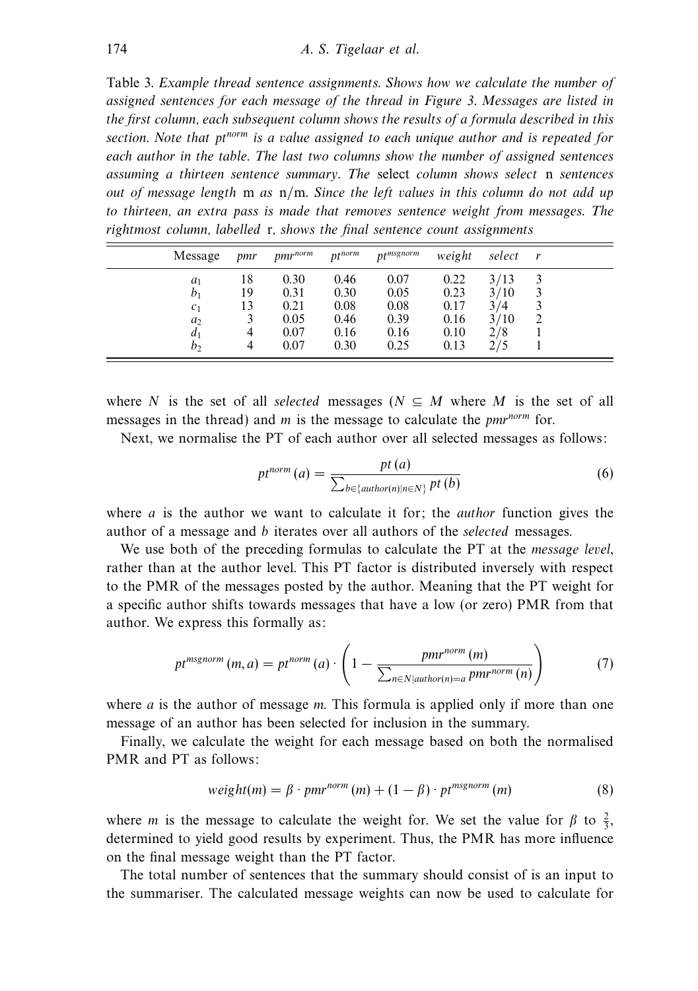Table 3. Example thread sentence assignments. Shows how we calculate the number of assigned sentences for each message of the thread in Figure 3. Messages are listed in the first column, each subsequent column shows the results of a formula described in this section. Note that *ptnorm* is a value assigned to each unique author and is repeated for each author in the table. The last two columns show the number of assigned sentences assuming a thirteen sentence summary. The select column shows select n sentences out of message length m as n/m. Since the left values in this column do not add up to thirteen, an extra pass is made that removes sentence weight from messages. The rightmost column, labelled r, shows the final sentence count assignments

| Message        | pmr | $pmr^{norm}$<br>$pt^{norm}$ | $pt^{msgnorm}$ | weight | select | $\mathbf{r}$ |
|----------------|-----|-----------------------------|----------------|--------|--------|--------------|
| $a_1$          | 18  | 0.30<br>0.46                | 0.07           | 0.22   | 3/13   |              |
| b <sub>1</sub> | 19  | 0.31<br>0.30                | 0.05           | 0.23   | 3/10   |              |
| c <sub>1</sub> | 13  | 0.08<br>0.21                | 0.08           | 0.17   | 3/4    |              |
| a <sub>2</sub> |     | 0.05<br>0.46                | 0.39           | 0.16   | 3/10   |              |
| $a_1$          |     | 0.07<br>0.16                | 0.16           | 0.10   | 2/8    |              |
| b٠             |     | 0.07<br>0.30                | 0.25           | 0.13   | 275    |              |

where N is the set of all selected messages ( $N \subseteq M$  where M is the set of all messages in the thread) and m is the message to calculate the *pmrnorm* for.

Next, we normalise the PT of each author over all selected messages as follows:

$$
pt^{norm}(a) = \frac{pt(a)}{\sum_{b \in \{author(n) | n \in N\}} pt(b)} \tag{6}
$$

where a is the author we want to calculate it for; the *author* function gives the author of a message and b iterates over all authors of the selected messages.

We use both of the preceding formulas to calculate the PT at the message level, rather than at the author level. This PT factor is distributed inversely with respect to the PMR of the messages posted by the author. Meaning that the PT weight for a specific author shifts towards messages that have a low (or zero) PMR from that author. We express this formally as:

$$
pt^{msgnorm}(m, a) = pt^{norm}(a) \cdot \left(1 - \frac{pm^{norm}(m)}{\sum_{n \in N | author(n) = a}pm^{norm}(n)}\right) \tag{7}
$$

where *a* is the author of message *m*. This formula is applied only if more than one message of an author has been selected for inclusion in the summary.

Finally, we calculate the weight for each message based on both the normalised PMR and PT as follows:

$$
weight(m) = \beta \cdot pm^{norm}(m) + (1 - \beta) \cdot pt^{msgnorm}(m)
$$
\n(8)

where *m* is the message to calculate the weight for. We set the value for  $\beta$  to  $\frac{2}{3}$ , determined to yield good results by experiment. Thus, the PMR has more influence on the final message weight than the PT factor.

The total number of sentences that the summary should consist of is an input to the summariser. The calculated message weights can now be used to calculate for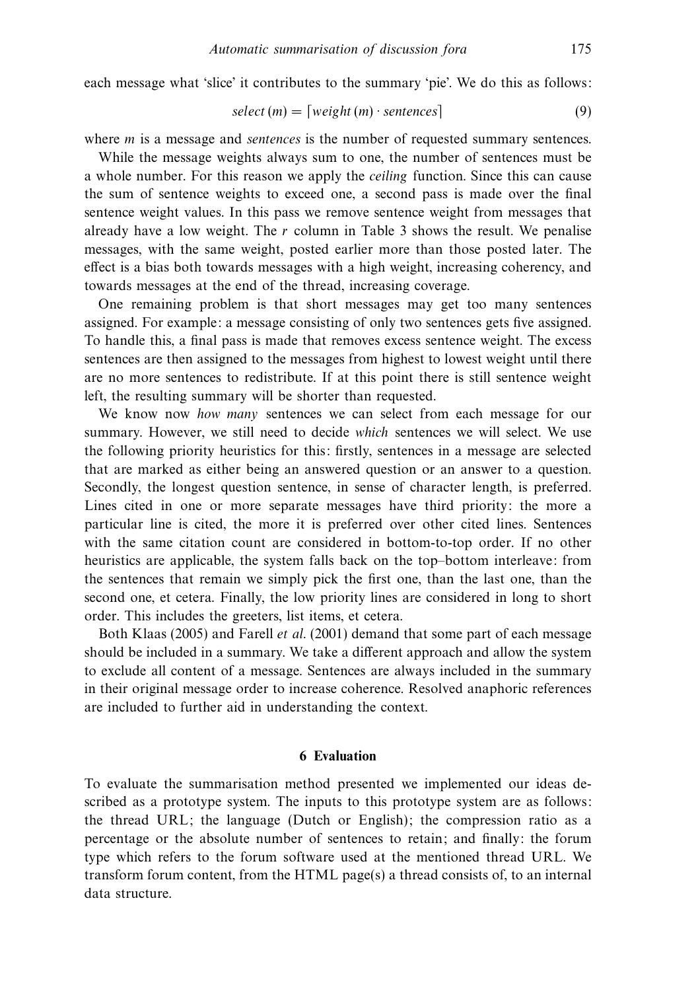each message what 'slice' it contributes to the summary 'pie'. We do this as follows:

$$
select(m) = \lceil weight(m) \cdot sentences \rceil \tag{9}
$$

where m is a message and *sentences* is the number of requested summary sentences.

While the message weights always sum to one, the number of sentences must be a whole number. For this reason we apply the ceiling function. Since this can cause the sum of sentence weights to exceed one, a second pass is made over the final sentence weight values. In this pass we remove sentence weight from messages that already have a low weight. The  $r$  column in Table 3 shows the result. We penalise messages, with the same weight, posted earlier more than those posted later. The effect is a bias both towards messages with a high weight, increasing coherency, and towards messages at the end of the thread, increasing coverage.

One remaining problem is that short messages may get too many sentences assigned. For example: a message consisting of only two sentences gets five assigned. To handle this, a final pass is made that removes excess sentence weight. The excess sentences are then assigned to the messages from highest to lowest weight until there are no more sentences to redistribute. If at this point there is still sentence weight left, the resulting summary will be shorter than requested.

We know now how many sentences we can select from each message for our summary. However, we still need to decide which sentences we will select. We use the following priority heuristics for this: firstly, sentences in a message are selected that are marked as either being an answered question or an answer to a question. Secondly, the longest question sentence, in sense of character length, is preferred. Lines cited in one or more separate messages have third priority: the more a particular line is cited, the more it is preferred over other cited lines. Sentences with the same citation count are considered in bottom-to-top order. If no other heuristics are applicable, the system falls back on the top–bottom interleave: from the sentences that remain we simply pick the first one, than the last one, than the second one, et cetera. Finally, the low priority lines are considered in long to short order. This includes the greeters, list items, et cetera.

Both Klaas (2005) and Farell et al. (2001) demand that some part of each message should be included in a summary. We take a different approach and allow the system to exclude all content of a message. Sentences are always included in the summary in their original message order to increase coherence. Resolved anaphoric references are included to further aid in understanding the context.

#### **6 Evaluation**

To evaluate the summarisation method presented we implemented our ideas described as a prototype system. The inputs to this prototype system are as follows: the thread URL; the language (Dutch or English); the compression ratio as a percentage or the absolute number of sentences to retain; and finally: the forum type which refers to the forum software used at the mentioned thread URL. We transform forum content, from the HTML page(s) a thread consists of, to an internal data structure.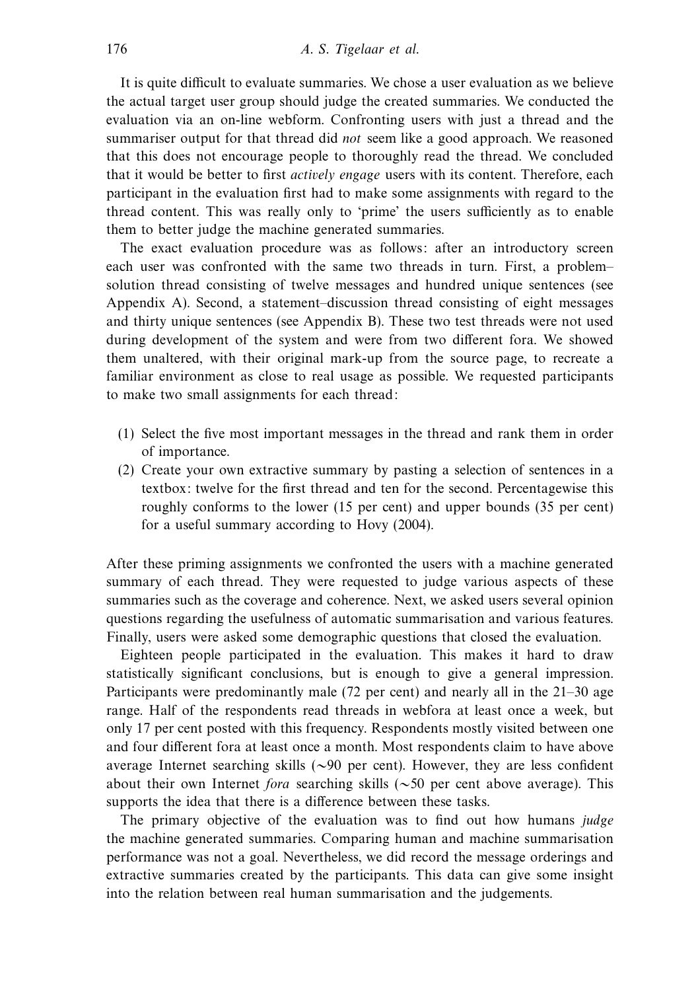It is quite difficult to evaluate summaries. We chose a user evaluation as we believe the actual target user group should judge the created summaries. We conducted the evaluation via an on-line webform. Confronting users with just a thread and the summariser output for that thread did *not* seem like a good approach. We reasoned that this does not encourage people to thoroughly read the thread. We concluded that it would be better to first actively engage users with its content. Therefore, each participant in the evaluation first had to make some assignments with regard to the thread content. This was really only to 'prime' the users sufficiently as to enable them to better judge the machine generated summaries.

The exact evaluation procedure was as follows: after an introductory screen each user was confronted with the same two threads in turn. First, a problem– solution thread consisting of twelve messages and hundred unique sentences (see Appendix A). Second, a statement–discussion thread consisting of eight messages and thirty unique sentences (see Appendix B). These two test threads were not used during development of the system and were from two different fora. We showed them unaltered, with their original mark-up from the source page, to recreate a familiar environment as close to real usage as possible. We requested participants to make two small assignments for each thread:

- (1) Select the five most important messages in the thread and rank them in order of importance.
- (2) Create your own extractive summary by pasting a selection of sentences in a textbox: twelve for the first thread and ten for the second. Percentagewise this roughly conforms to the lower (15 per cent) and upper bounds (35 per cent) for a useful summary according to Hovy (2004).

After these priming assignments we confronted the users with a machine generated summary of each thread. They were requested to judge various aspects of these summaries such as the coverage and coherence. Next, we asked users several opinion questions regarding the usefulness of automatic summarisation and various features. Finally, users were asked some demographic questions that closed the evaluation.

Eighteen people participated in the evaluation. This makes it hard to draw statistically significant conclusions, but is enough to give a general impression. Participants were predominantly male (72 per cent) and nearly all in the 21–30 age range. Half of the respondents read threads in webfora at least once a week, but only 17 per cent posted with this frequency. Respondents mostly visited between one and four different fora at least once a month. Most respondents claim to have above average Internet searching skills (∼90 per cent). However, they are less confident about their own Internet fora searching skills (∼50 per cent above average). This supports the idea that there is a difference between these tasks.

The primary objective of the evaluation was to find out how humans judge the machine generated summaries. Comparing human and machine summarisation performance was not a goal. Nevertheless, we did record the message orderings and extractive summaries created by the participants. This data can give some insight into the relation between real human summarisation and the judgements.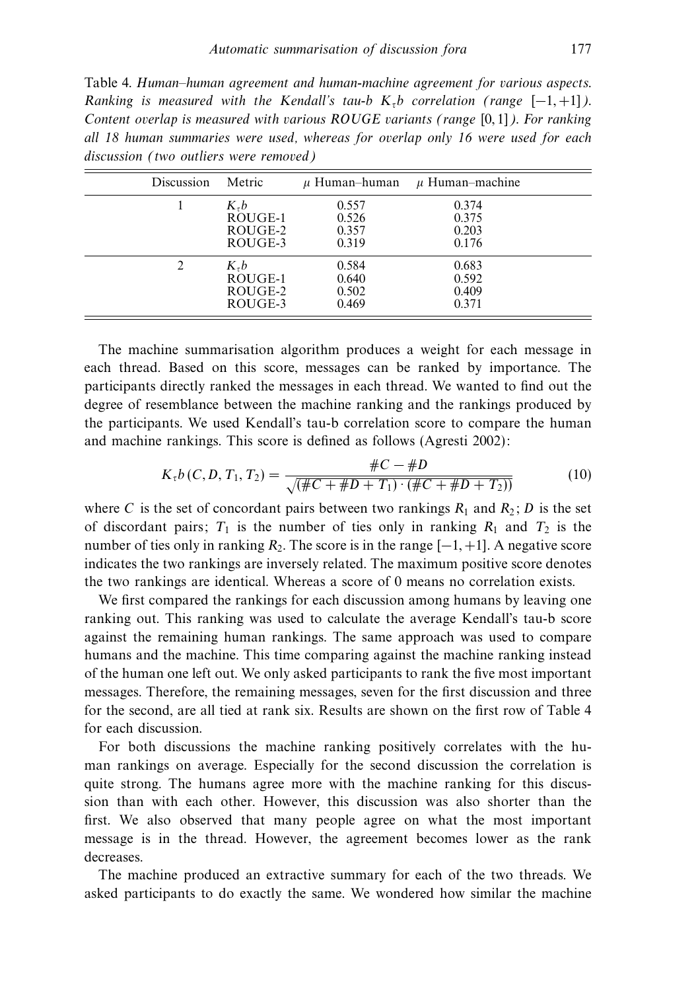Table 4. Human–human agreement and human-machine agreement for various aspects. Ranking is measured with the Kendall's tau-b  $K<sub>z</sub>$ b correlation (range  $[-1, +1]$ ). Content overlap is measured with various ROUGE variants (range [0*,* 1]). For ranking all 18 human summaries were used, whereas for overlap only 16 were used for each discussion (two outliers were removed)

| Metric<br>Discussion                              | $\mu$ Human–human                | $\mu$ Human–machine              |
|---------------------------------------------------|----------------------------------|----------------------------------|
| $K_{\tau}b$<br>ROUGE-1<br>ROUGE-2<br>ROUGE-3      | 0.557<br>0.526<br>0.357<br>0.319 | 0.374<br>0.375<br>0.203<br>0.176 |
| 2<br>$K_{\tau}b$<br>ROUGE-1<br>ROUGE-2<br>ROUGE-3 | 0.584<br>0.640<br>0.502<br>0.469 | 0.683<br>0.592<br>0.409<br>0.371 |

The machine summarisation algorithm produces a weight for each message in each thread. Based on this score, messages can be ranked by importance. The participants directly ranked the messages in each thread. We wanted to find out the degree of resemblance between the machine ranking and the rankings produced by the participants. We used Kendall's tau-b correlation score to compare the human and machine rankings. This score is defined as follows (Agresti 2002):

$$
K_{\tau}b(C,D,T_1,T_2) = \frac{\#C - \#D}{\sqrt{(\#C + \#D + T_1) \cdot (\#C + \#D + T_2))}}
$$
(10)

where C is the set of concordant pairs between two rankings  $R_1$  and  $R_2$ ; D is the set of discordant pairs;  $T_1$  is the number of ties only in ranking  $R_1$  and  $T_2$  is the number of ties only in ranking  $R_2$ . The score is in the range  $[-1, +1]$ . A negative score indicates the two rankings are inversely related. The maximum positive score denotes the two rankings are identical. Whereas a score of 0 means no correlation exists.

We first compared the rankings for each discussion among humans by leaving one ranking out. This ranking was used to calculate the average Kendall's tau-b score against the remaining human rankings. The same approach was used to compare humans and the machine. This time comparing against the machine ranking instead of the human one left out. We only asked participants to rank the five most important messages. Therefore, the remaining messages, seven for the first discussion and three for the second, are all tied at rank six. Results are shown on the first row of Table 4 for each discussion.

For both discussions the machine ranking positively correlates with the human rankings on average. Especially for the second discussion the correlation is quite strong. The humans agree more with the machine ranking for this discussion than with each other. However, this discussion was also shorter than the first. We also observed that many people agree on what the most important message is in the thread. However, the agreement becomes lower as the rank decreases.

The machine produced an extractive summary for each of the two threads. We asked participants to do exactly the same. We wondered how similar the machine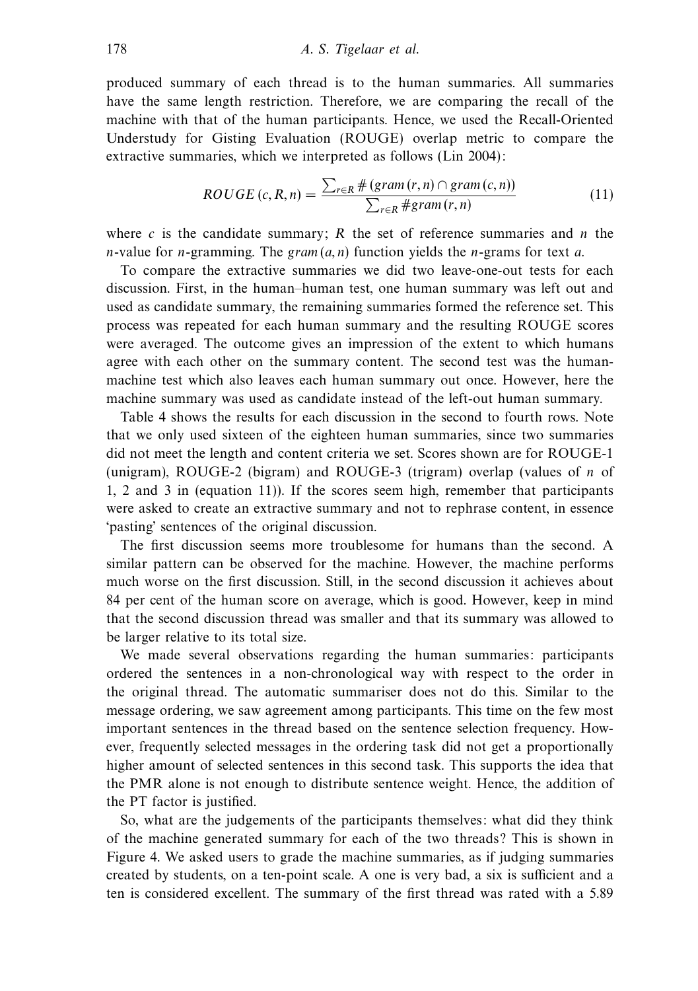produced summary of each thread is to the human summaries. All summaries have the same length restriction. Therefore, we are comparing the recall of the machine with that of the human participants. Hence, we used the Recall-Oriented Understudy for Gisting Evaluation (ROUGE) overlap metric to compare the extractive summaries, which we interpreted as follows (Lin 2004):

$$
ROUGE(c, R, n) = \frac{\sum_{r \in R} \# (gram(r, n) \cap gram(c, n))}{\sum_{r \in R} \# gram(r, n)}
$$
(11)

where  $c$  is the candidate summary;  $R$  the set of reference summaries and  $n$  the n-value for n-gramming. The *gram* (*a, n*) function yields the n-grams for text a.

To compare the extractive summaries we did two leave-one-out tests for each discussion. First, in the human–human test, one human summary was left out and used as candidate summary, the remaining summaries formed the reference set. This process was repeated for each human summary and the resulting ROUGE scores were averaged. The outcome gives an impression of the extent to which humans agree with each other on the summary content. The second test was the humanmachine test which also leaves each human summary out once. However, here the machine summary was used as candidate instead of the left-out human summary.

Table 4 shows the results for each discussion in the second to fourth rows. Note that we only used sixteen of the eighteen human summaries, since two summaries did not meet the length and content criteria we set. Scores shown are for ROUGE-1 (unigram), ROUGE-2 (bigram) and ROUGE-3 (trigram) overlap (values of n of 1, 2 and 3 in (equation 11)). If the scores seem high, remember that participants were asked to create an extractive summary and not to rephrase content, in essence 'pasting' sentences of the original discussion.

The first discussion seems more troublesome for humans than the second. A similar pattern can be observed for the machine. However, the machine performs much worse on the first discussion. Still, in the second discussion it achieves about 84 per cent of the human score on average, which is good. However, keep in mind that the second discussion thread was smaller and that its summary was allowed to be larger relative to its total size.

We made several observations regarding the human summaries: participants ordered the sentences in a non-chronological way with respect to the order in the original thread. The automatic summariser does not do this. Similar to the message ordering, we saw agreement among participants. This time on the few most important sentences in the thread based on the sentence selection frequency. However, frequently selected messages in the ordering task did not get a proportionally higher amount of selected sentences in this second task. This supports the idea that the PMR alone is not enough to distribute sentence weight. Hence, the addition of the PT factor is justified.

So, what are the judgements of the participants themselves: what did they think of the machine generated summary for each of the two threads? This is shown in Figure 4. We asked users to grade the machine summaries, as if judging summaries created by students, on a ten-point scale. A one is very bad, a six is sufficient and a ten is considered excellent. The summary of the first thread was rated with a 5.89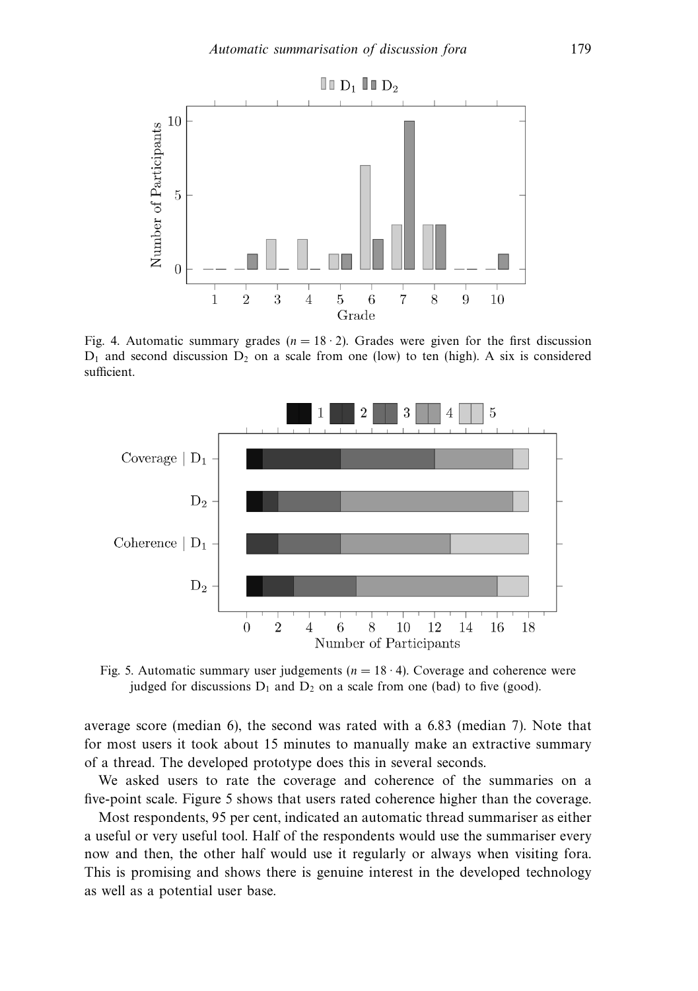

Fig. 4. Automatic summary grades  $(n = 18 \cdot 2)$ . Grades were given for the first discussion  $D_1$  and second discussion  $D_2$  on a scale from one (low) to ten (high). A six is considered sufficient.



Fig. 5. Automatic summary user judgements ( $n = 18 \cdot 4$ ). Coverage and coherence were judged for discussions  $D_1$  and  $D_2$  on a scale from one (bad) to five (good).

average score (median 6), the second was rated with a 6.83 (median 7). Note that for most users it took about 15 minutes to manually make an extractive summary of a thread. The developed prototype does this in several seconds.

We asked users to rate the coverage and coherence of the summaries on a five-point scale. Figure 5 shows that users rated coherence higher than the coverage.

Most respondents, 95 per cent, indicated an automatic thread summariser as either a useful or very useful tool. Half of the respondents would use the summariser every now and then, the other half would use it regularly or always when visiting fora. This is promising and shows there is genuine interest in the developed technology as well as a potential user base.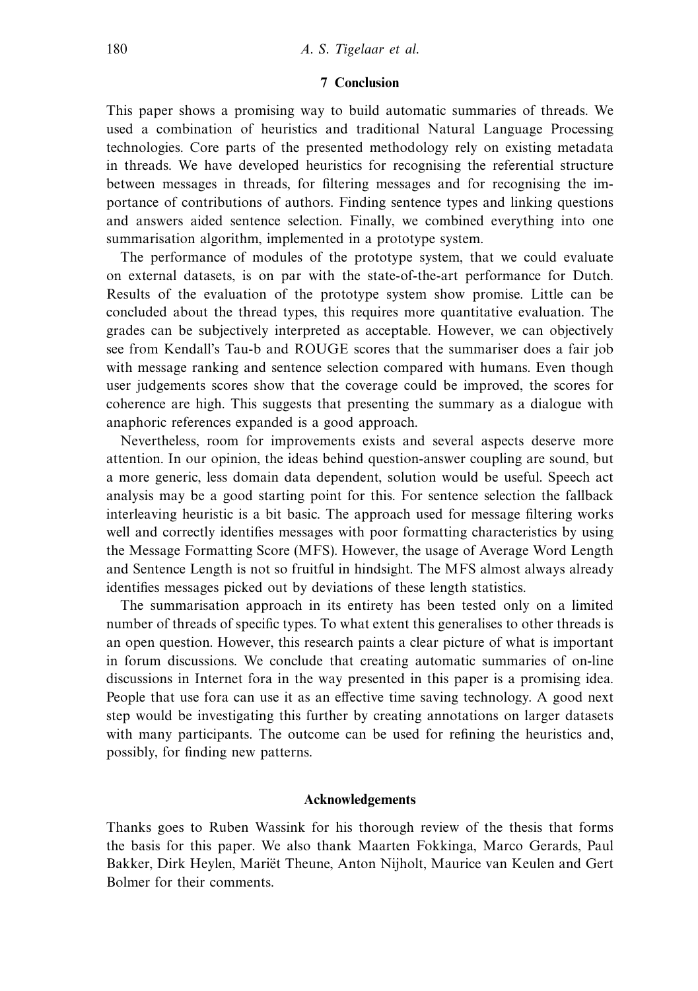#### **7 Conclusion**

This paper shows a promising way to build automatic summaries of threads. We used a combination of heuristics and traditional Natural Language Processing technologies. Core parts of the presented methodology rely on existing metadata in threads. We have developed heuristics for recognising the referential structure between messages in threads, for filtering messages and for recognising the importance of contributions of authors. Finding sentence types and linking questions and answers aided sentence selection. Finally, we combined everything into one summarisation algorithm, implemented in a prototype system.

The performance of modules of the prototype system, that we could evaluate on external datasets, is on par with the state-of-the-art performance for Dutch. Results of the evaluation of the prototype system show promise. Little can be concluded about the thread types, this requires more quantitative evaluation. The grades can be subjectively interpreted as acceptable. However, we can objectively see from Kendall's Tau-b and ROUGE scores that the summariser does a fair job with message ranking and sentence selection compared with humans. Even though user judgements scores show that the coverage could be improved, the scores for coherence are high. This suggests that presenting the summary as a dialogue with anaphoric references expanded is a good approach.

Nevertheless, room for improvements exists and several aspects deserve more attention. In our opinion, the ideas behind question-answer coupling are sound, but a more generic, less domain data dependent, solution would be useful. Speech act analysis may be a good starting point for this. For sentence selection the fallback interleaving heuristic is a bit basic. The approach used for message filtering works well and correctly identifies messages with poor formatting characteristics by using the Message Formatting Score (MFS). However, the usage of Average Word Length and Sentence Length is not so fruitful in hindsight. The MFS almost always already identifies messages picked out by deviations of these length statistics.

The summarisation approach in its entirety has been tested only on a limited number of threads of specific types. To what extent this generalises to other threads is an open question. However, this research paints a clear picture of what is important in forum discussions. We conclude that creating automatic summaries of on-line discussions in Internet fora in the way presented in this paper is a promising idea. People that use fora can use it as an effective time saving technology. A good next step would be investigating this further by creating annotations on larger datasets with many participants. The outcome can be used for refining the heuristics and, possibly, for finding new patterns.

## **Acknowledgements**

Thanks goes to Ruben Wassink for his thorough review of the thesis that forms the basis for this paper. We also thank Maarten Fokkinga, Marco Gerards, Paul Bakker, Dirk Heylen, Mariët Theune, Anton Nijholt, Maurice van Keulen and Gert Bolmer for their comments.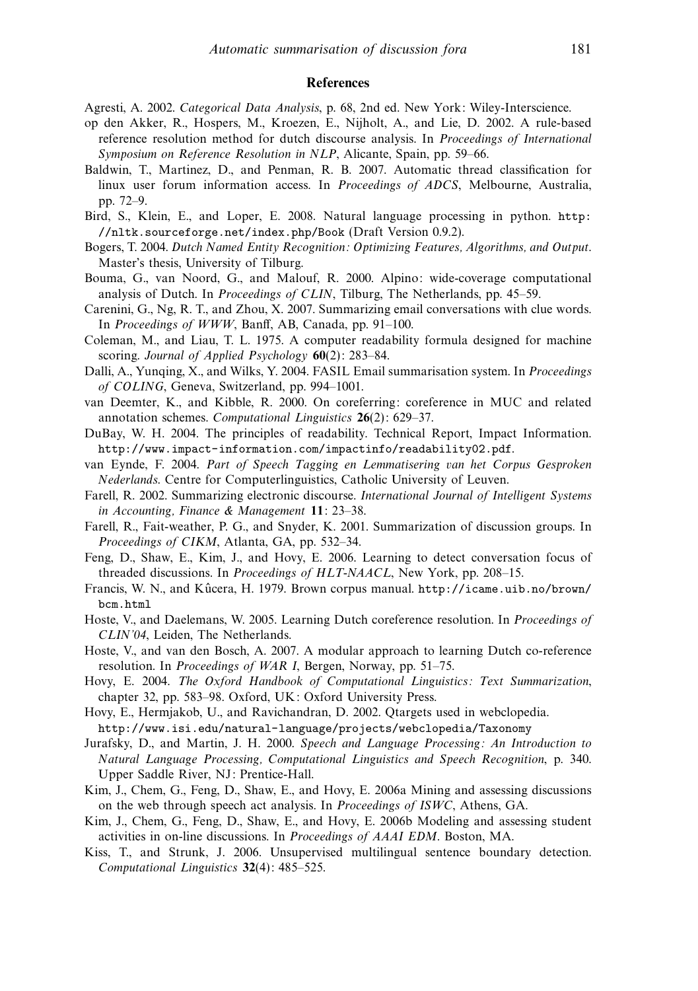#### **References**

- Agresti, A. 2002. Categorical Data Analysis, p. 68, 2nd ed. New York: Wiley-Interscience.
- op den Akker, R., Hospers, M., Kroezen, E., Nijholt, A., and Lie, D. 2002. A rule-based reference resolution method for dutch discourse analysis. In Proceedings of International Symposium on Reference Resolution in NLP, Alicante, Spain, pp. 59–66.
- Baldwin, T., Martinez, D., and Penman, R. B. 2007. Automatic thread classification for linux user forum information access. In Proceedings of ADCS, Melbourne, Australia, pp. 72–9.
- Bird, S., Klein, E., and Loper, E. 2008. Natural language processing in python. http: //nltk.sourceforge.net/index.php/Book (Draft Version 0.9.2).
- Bogers, T. 2004. Dutch Named Entity Recognition: Optimizing Features, Algorithms, and Output. Master's thesis, University of Tilburg.
- Bouma, G., van Noord, G., and Malouf, R. 2000. Alpino: wide-coverage computational analysis of Dutch. In Proceedings of CLIN, Tilburg, The Netherlands, pp. 45–59.
- Carenini, G., Ng, R. T., and Zhou, X. 2007. Summarizing email conversations with clue words. In Proceedings of WWW, Banff, AB, Canada, pp. 91–100.
- Coleman, M., and Liau, T. L. 1975. A computer readability formula designed for machine scoring. Journal of Applied Psychology **60**(2): 283–84.
- Dalli, A., Yunqing, X., and Wilks, Y. 2004. FASIL Email summarisation system. In Proceedings of COLING, Geneva, Switzerland, pp. 994–1001.
- van Deemter, K., and Kibble, R. 2000. On coreferring: coreference in MUC and related annotation schemes. Computational Linguistics **26**(2): 629–37.
- DuBay, W. H. 2004. The principles of readability. Technical Report, Impact Information. http://www.impact-information.com/impactinfo/readability02.pdf.
- van Eynde, F. 2004. Part of Speech Tagging en Lemmatisering van het Corpus Gesproken Nederlands. Centre for Computerlinguistics, Catholic University of Leuven.
- Farell, R. 2002. Summarizing electronic discourse. International Journal of Intelligent Systems in Accounting, Finance & Management **11**: 23–38.
- Farell, R., Fait-weather, P. G., and Snyder, K. 2001. Summarization of discussion groups. In Proceedings of CIKM, Atlanta, GA, pp. 532–34.
- Feng, D., Shaw, E., Kim, J., and Hovy, E. 2006. Learning to detect conversation focus of threaded discussions. In Proceedings of HLT-NAACL, New York, pp. 208-15.
- Francis, W. N., and Kûcera, H. 1979. Brown corpus manual. http://icame.uib.no/brown/ bcm.html
- Hoste, V., and Daelemans, W. 2005. Learning Dutch coreference resolution. In Proceedings of CLIN'04, Leiden, The Netherlands.
- Hoste, V., and van den Bosch, A. 2007. A modular approach to learning Dutch co-reference resolution. In *Proceedings of WAR I*, Bergen, Norway, pp. 51–75.
- Hovy, E. 2004. The Oxford Handbook of Computational Linguistics: Text Summarization, chapter 32, pp. 583–98. Oxford, UK: Oxford University Press.
- Hovy, E., Hermjakob, U., and Ravichandran, D. 2002. Qtargets used in webclopedia. http://www.isi.edu/natural-language/projects/webclopedia/Taxonomy
- Jurafsky, D., and Martin, J. H. 2000. Speech and Language Processing: An Introduction to Natural Language Processing, Computational Linguistics and Speech Recognition, p. 340. Upper Saddle River, NJ: Prentice-Hall.
- Kim, J., Chem, G., Feng, D., Shaw, E., and Hovy, E. 2006a Mining and assessing discussions on the web through speech act analysis. In Proceedings of ISWC, Athens, GA.
- Kim, J., Chem, G., Feng, D., Shaw, E., and Hovy, E. 2006b Modeling and assessing student activities in on-line discussions. In Proceedings of AAAI EDM. Boston, MA.
- Kiss, T., and Strunk, J. 2006. Unsupervised multilingual sentence boundary detection. Computational Linguistics **32**(4): 485–525.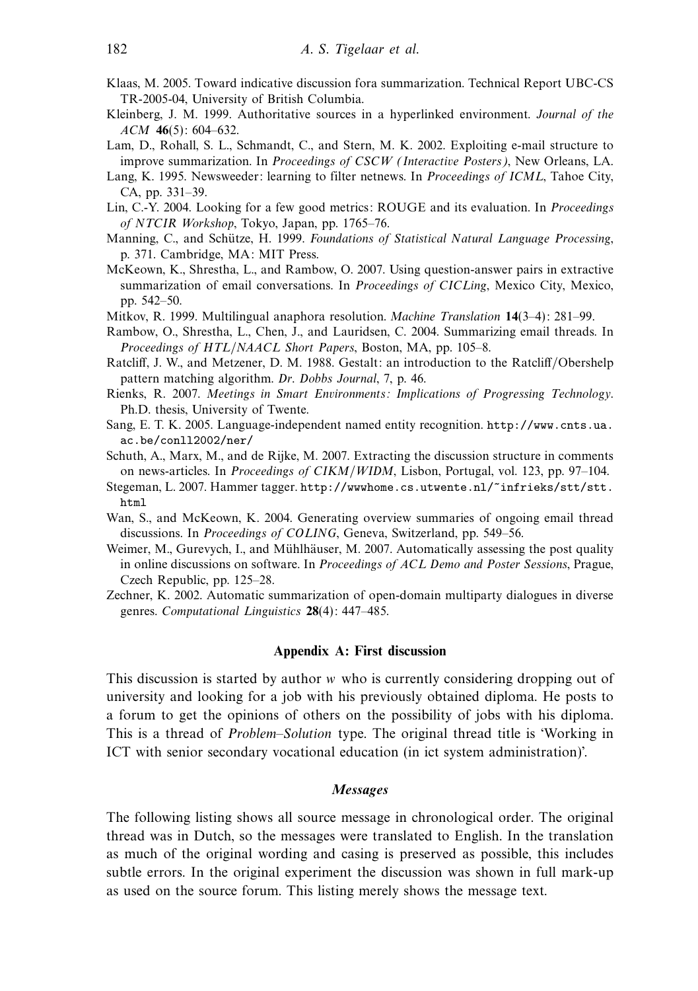- Klaas, M. 2005. Toward indicative discussion fora summarization. Technical Report UBC-CS TR-2005-04, University of British Columbia.
- Kleinberg, J. M. 1999. Authoritative sources in a hyperlinked environment. Journal of the ACM **46**(5): 604–632.
- Lam, D., Rohall, S. L., Schmandt, C., and Stern, M. K. 2002. Exploiting e-mail structure to improve summarization. In Proceedings of CSCW (Interactive Posters), New Orleans, LA.
- Lang, K. 1995. Newsweeder: learning to filter netnews. In Proceedings of ICML, Tahoe City, CA, pp. 331–39.
- Lin, C.-Y. 2004. Looking for a few good metrics: ROUGE and its evaluation. In Proceedings of NTCIR Workshop, Tokyo, Japan, pp. 1765–76.
- Manning, C., and Schütze, H. 1999. Foundations of Statistical Natural Language Processing, p. 371. Cambridge, MA: MIT Press.
- McKeown, K., Shrestha, L., and Rambow, O. 2007. Using question-answer pairs in extractive summarization of email conversations. In Proceedings of CICLing, Mexico City, Mexico, pp. 542–50.
- Mitkov, R. 1999. Multilingual anaphora resolution. Machine Translation **14**(3–4): 281–99.
- Rambow, O., Shrestha, L., Chen, J., and Lauridsen, C. 2004. Summarizing email threads. In Proceedings of HTL/NAACL Short Papers, Boston, MA, pp. 105-8.
- Ratcliff, J. W., and Metzener, D. M. 1988. Gestalt: an introduction to the Ratcliff/Obershelp pattern matching algorithm. Dr. Dobbs Journal, 7, p. 46.
- Rienks, R. 2007. Meetings in Smart Environments: Implications of Progressing Technology. Ph.D. thesis, University of Twente.
- Sang, E. T. K. 2005. Language-independent named entity recognition. http://www.cnts.ua. ac.be/conll2002/ner/
- Schuth, A., Marx, M., and de Rijke, M. 2007. Extracting the discussion structure in comments on news-articles. In *Proceedings of CIKM/WIDM*, Lisbon, Portugal, vol. 123, pp. 97–104.
- Stegeman, L. 2007. Hammer tagger. http://wwwhome.cs.utwente.nl/~infrieks/stt/stt. html
- Wan, S., and McKeown, K. 2004. Generating overview summaries of ongoing email thread discussions. In Proceedings of COLING, Geneva, Switzerland, pp. 549–56.
- Weimer, M., Gurevych, I., and Mühlhäuser, M. 2007. Automatically assessing the post quality in online discussions on software. In Proceedings of ACL Demo and Poster Sessions, Prague, Czech Republic, pp. 125–28.
- Zechner, K. 2002. Automatic summarization of open-domain multiparty dialogues in diverse genres. Computational Linguistics **28**(4): 447–485.

#### **Appendix A: First discussion**

This discussion is started by author w who is currently considering dropping out of university and looking for a job with his previously obtained diploma. He posts to a forum to get the opinions of others on the possibility of jobs with his diploma. This is a thread of Problem–Solution type. The original thread title is 'Working in ICT with senior secondary vocational education (in ict system administration)'.

## *Messages*

The following listing shows all source message in chronological order. The original thread was in Dutch, so the messages were translated to English. In the translation as much of the original wording and casing is preserved as possible, this includes subtle errors. In the original experiment the discussion was shown in full mark-up as used on the source forum. This listing merely shows the message text.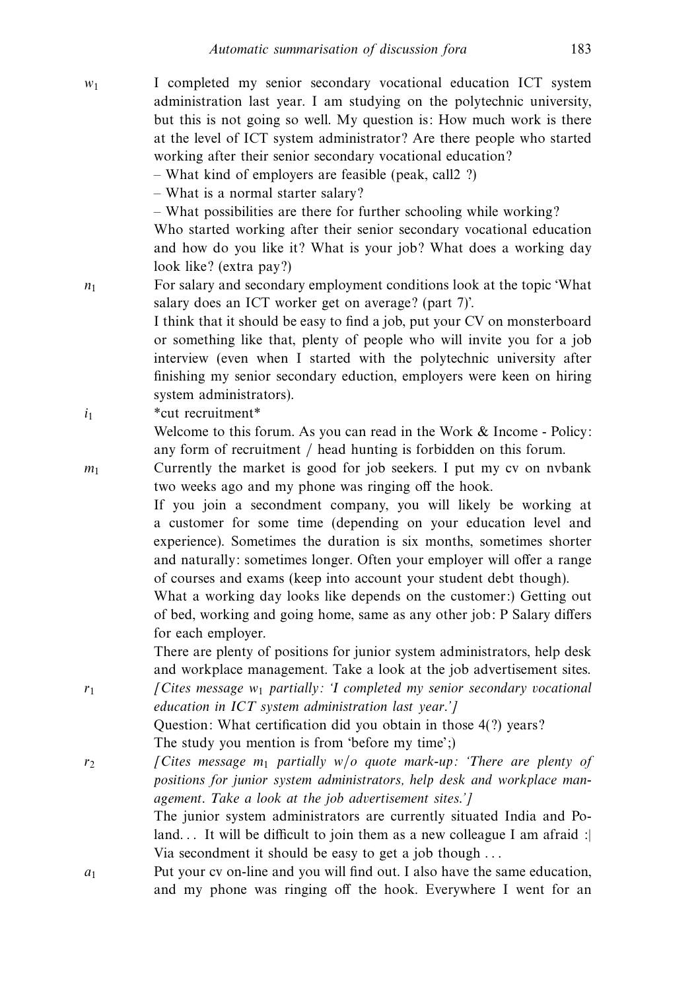*w*<sup>1</sup> I completed my senior secondary vocational education ICT system administration last year. I am studying on the polytechnic university, but this is not going so well. My question is: How much work is there at the level of ICT system administrator? Are there people who started working after their senior secondary vocational education?

– What kind of employers are feasible (peak, call2 ?)

– What is a normal starter salary?

– What possibilities are there for further schooling while working?

Who started working after their senior secondary vocational education and how do you like it? What is your job? What does a working day look like? (extra pay?)

*n*<sub>1</sub> For salary and secondary employment conditions look at the topic 'What' salary does an ICT worker get on average? (part 7)'.

> I think that it should be easy to find a job, put your CV on monsterboard or something like that, plenty of people who will invite you for a job interview (even when I started with the polytechnic university after finishing my senior secondary eduction, employers were keen on hiring system administrators).

*i*<sub>1</sub> \*cut recruitment\*

Welcome to this forum. As you can read in the Work & Income - Policy: any form of recruitment / head hunting is forbidden on this forum.

 $m_1$  Currently the market is good for job seekers. I put my cv on nybank two weeks ago and my phone was ringing off the hook.

> If you join a secondment company, you will likely be working at a customer for some time (depending on your education level and experience). Sometimes the duration is six months, sometimes shorter and naturally: sometimes longer. Often your employer will offer a range of courses and exams (keep into account your student debt though).

> What a working day looks like depends on the customer:) Getting out of bed, working and going home, same as any other job: P Salary differs for each employer.

> There are plenty of positions for junior system administrators, help desk and workplace management. Take a look at the job advertisement sites.

 $r_1$  [Cites message  $w_1$  partially: 'I completed my senior secondary vocational education in ICT system administration last year.']

> Question: What certification did you obtain in those 4(?) years? The study you mention is from 'before my time';)

*r*<sup>2</sup> [Cites message *m*<sup>1</sup> partially w/o quote mark-up: 'There are plenty of positions for junior system administrators, help desk and workplace management. Take a look at the job advertisement sites.']

> The junior system administrators are currently situated India and Poland... It will be difficult to join them as a new colleague I am afraid : Via secondment it should be easy to get a job though . . .

*a*<sub>1</sub> Put your cv on-line and you will find out. I also have the same education, and my phone was ringing off the hook. Everywhere I went for an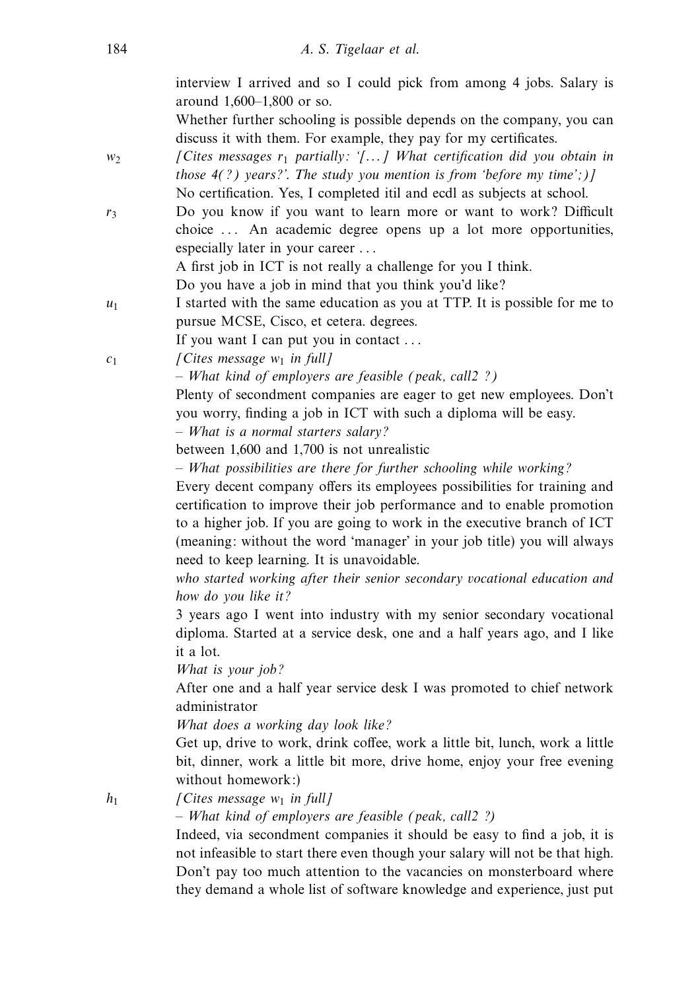| 184            | A. S. Tigelaar et al.                                                                                                                                                                                                                                                                                                                                                                                                                                                       |
|----------------|-----------------------------------------------------------------------------------------------------------------------------------------------------------------------------------------------------------------------------------------------------------------------------------------------------------------------------------------------------------------------------------------------------------------------------------------------------------------------------|
|                | interview I arrived and so I could pick from among 4 jobs. Salary is<br>around 1,600–1,800 or so.<br>Whether further schooling is possible depends on the company, you can<br>discuss it with them. For example, they pay for my certificates.                                                                                                                                                                                                                              |
| $w_2$          | [Cites messages $r_1$ partially: '[] What certification did you obtain in<br>those $4(?)$ years?'. The study you mention is from 'before my time';)]<br>No certification. Yes, I completed itil and ecdl as subjects at school.                                                                                                                                                                                                                                             |
| $r_3$          | Do you know if you want to learn more or want to work? Difficult<br>choice  An academic degree opens up a lot more opportunities,<br>especially later in your career<br>A first job in ICT is not really a challenge for you I think.<br>Do you have a job in mind that you think you'd like?                                                                                                                                                                               |
| $u_1$          | I started with the same education as you at TTP. It is possible for me to<br>pursue MCSE, Cisco, et cetera. degrees.<br>If you want I can put you in contact                                                                                                                                                                                                                                                                                                                |
| c <sub>1</sub> | [Cites message $w_1$ in full]<br>- What kind of employers are feasible (peak, call2?)<br>Plenty of secondment companies are eager to get new employees. Don't<br>you worry, finding a job in ICT with such a diploma will be easy.<br>$-$ What is a normal starters salary?                                                                                                                                                                                                 |
|                | between 1,600 and 1,700 is not unrealistic<br>- What possibilities are there for further schooling while working?<br>Every decent company offers its employees possibilities for training and<br>certification to improve their job performance and to enable promotion<br>to a higher job. If you are going to work in the executive branch of ICT<br>(meaning: without the word 'manager' in your job title) you will always<br>need to keep learning. It is unavoidable. |
|                | who started working after their senior secondary vocational education and<br>how do you like it?<br>3 years ago I went into industry with my senior secondary vocational<br>diploma. Started at a service desk, one and a half years ago, and I like<br>it a lot.                                                                                                                                                                                                           |
|                | What is your job?<br>After one and a half year service desk I was promoted to chief network<br>administrator<br>What does a working day look like?<br>Get up, drive to work, drink coffee, work a little bit, lunch, work a little<br>bit, dinner, work a little bit more, drive home, enjoy your free evening                                                                                                                                                              |
| $h_1$          | without homework:)<br>[Cites message $w_1$ in full]<br>- What kind of employers are feasible (peak, call2 ?)<br>Indeed, via secondment companies it should be easy to find a job, it is<br>not infeasible to start there even though your salary will not be that high.<br>Don't pay too much attention to the vacancies on monsterboard where<br>they demand a whole list of software knowledge and experience, just put                                                   |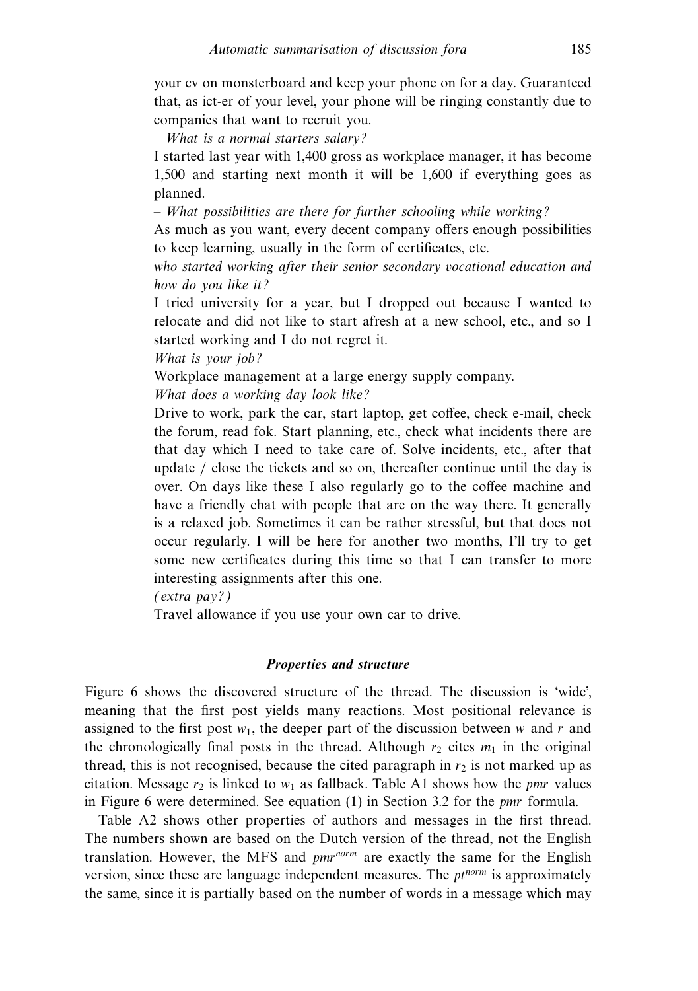your cv on monsterboard and keep your phone on for a day. Guaranteed that, as ict-er of your level, your phone will be ringing constantly due to companies that want to recruit you.

– What is a normal starters salary?

I started last year with 1,400 gross as workplace manager, it has become 1,500 and starting next month it will be 1,600 if everything goes as planned.

– What possibilities are there for further schooling while working?

As much as you want, every decent company offers enough possibilities to keep learning, usually in the form of certificates, etc.

who started working after their senior secondary vocational education and how do you like it?

I tried university for a year, but I dropped out because I wanted to relocate and did not like to start afresh at a new school, etc., and so I started working and I do not regret it.

What is your job?

Workplace management at a large energy supply company.

What does a working day look like?

Drive to work, park the car, start laptop, get coffee, check e-mail, check the forum, read fok. Start planning, etc., check what incidents there are that day which I need to take care of. Solve incidents, etc., after that update / close the tickets and so on, thereafter continue until the day is over. On days like these I also regularly go to the coffee machine and have a friendly chat with people that are on the way there. It generally is a relaxed job. Sometimes it can be rather stressful, but that does not occur regularly. I will be here for another two months, I'll try to get some new certificates during this time so that I can transfer to more interesting assignments after this one.

(extra pay?)

Travel allowance if you use your own car to drive.

## *Properties and structure*

Figure 6 shows the discovered structure of the thread. The discussion is 'wide', meaning that the first post yields many reactions. Most positional relevance is assigned to the first post  $w_1$ , the deeper part of the discussion between w and r and the chronologically final posts in the thread. Although  $r_2$  cites  $m_1$  in the original thread, this is not recognised, because the cited paragraph in  $r_2$  is not marked up as citation. Message  $r_2$  is linked to  $w_1$  as fallback. Table A1 shows how the *pmr* values in Figure 6 were determined. See equation (1) in Section 3.2 for the pmr formula.

Table A2 shows other properties of authors and messages in the first thread. The numbers shown are based on the Dutch version of the thread, not the English translation. However, the MFS and *pmrnorm* are exactly the same for the English version, since these are language independent measures. The *ptnorm* is approximately the same, since it is partially based on the number of words in a message which may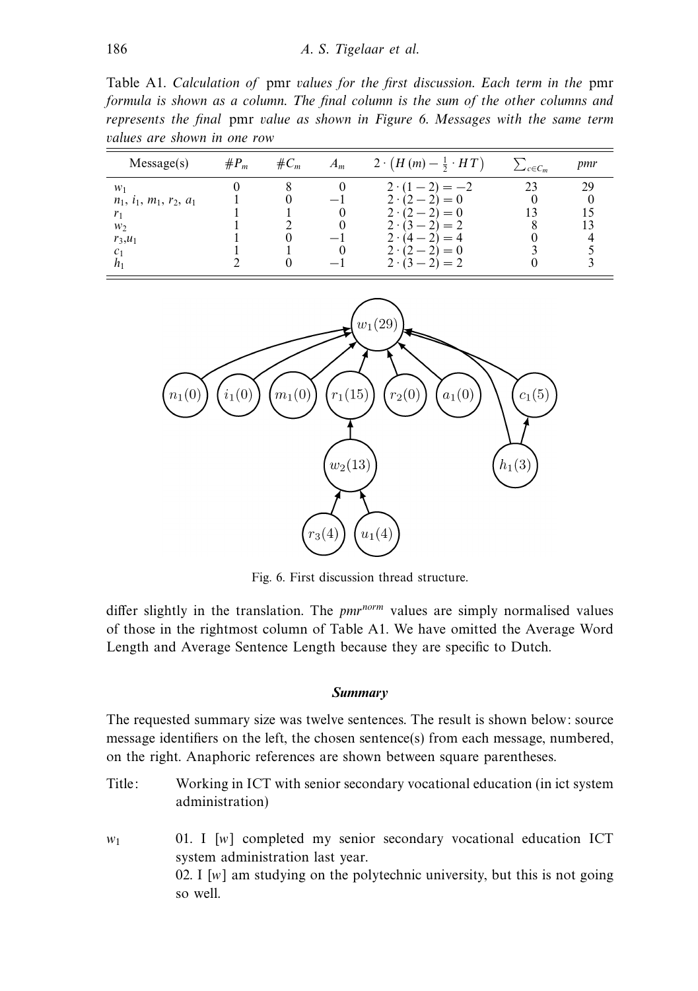Table A1. Calculation of pmr values for the first discussion. Each term in the pmr formula is shown as a column. The final column is the sum of the other columns and represents the final pmr value as shown in Figure 6. Messages with the same term values are shown in one row

| Message(s)                            | $\#P_m$ | $\#C_m$ | $A_m$ | $2 \cdot (H(m) - \frac{1}{2} \cdot HT)$ | $\sum_{c \in C_m}$ | pmr |
|---------------------------------------|---------|---------|-------|-----------------------------------------|--------------------|-----|
| $W_1$                                 |         |         |       | $2 \cdot (1-2) = -2$                    | 23                 | 29  |
| $n_1$ , $i_1$ , $m_1$ , $r_2$ , $a_1$ |         |         | -     | $2 \cdot (2 - 2) = 0$                   |                    |     |
| r <sub>1</sub>                        |         |         |       | $2 \cdot (2 - 2) = 0$                   | 13                 |     |
| W <sub>2</sub>                        |         |         |       | $2 \cdot (3 - 2) = 2$                   |                    |     |
| $r_3, u_1$                            |         |         | —     | $2 \cdot (4-2) = 4$                     |                    |     |
| $\mathcal{C}_1$                       |         |         | O     | $2 \cdot (2 - 2) = 0$                   |                    |     |
| $n_{1}$                               |         |         |       | $2 \cdot (3 - 2) = 2$                   |                    |     |



Fig. 6. First discussion thread structure.

differ slightly in the translation. The *pmrnorm* values are simply normalised values of those in the rightmost column of Table A1. We have omitted the Average Word Length and Average Sentence Length because they are specific to Dutch.

#### *Summary*

The requested summary size was twelve sentences. The result is shown below: source message identifiers on the left, the chosen sentence(s) from each message, numbered, on the right. Anaphoric references are shown between square parentheses.

- Title: Working in ICT with senior secondary vocational education (in ict system administration)
- $w_1$  01. I [w] completed my senior secondary vocational education ICT system administration last year. 02. I  $[w]$  am studying on the polytechnic university, but this is not going so well.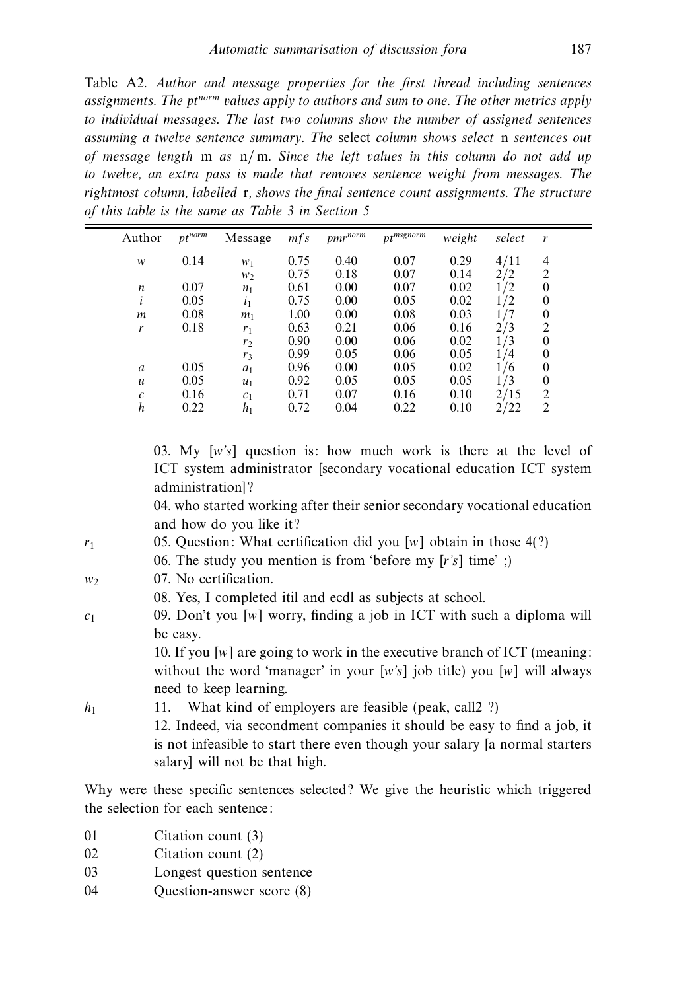Table A2. Author and message properties for the first thread including sentences assignments. The *ptnorm* values apply to authors and sum to one. The other metrics apply to individual messages. The last two columns show the number of assigned sentences assuming a twelve sentence summary. The select column shows select n sentences out of message length  $m$  as  $n/m$ . Since the left values in this column do not add up to twelve, an extra pass is made that removes sentence weight from messages. The rightmost column, labelled r, shows the final sentence count assignments. The structure of this table is the same as Table 3 in Section 5

| Author           | $pt^{norm}$ | Message        | mfs  | $pmr^{norm}$ | $pt^{msgnorm}$ | weight | select | $\mathbf{r}$     |
|------------------|-------------|----------------|------|--------------|----------------|--------|--------|------------------|
| w                | 0.14        | $W_1$          | 0.75 | 0.40         | 0.07           | 0.29   | 4/11   | $\overline{4}$   |
|                  |             | $W_2$          | 0.75 | 0.18         | 0.07           | 0.14   | 2/2    | $\overline{2}$   |
| n                | 0.07        | $n_1$          | 0.61 | 0.00         | 0.07           | 0.02   | 1/2    | 0                |
| i                | 0.05        | i <sub>1</sub> | 0.75 | 0.00         | 0.05           | 0.02   | 1/2    | $\mathbf{0}$     |
| m                | 0.08        | m <sub>1</sub> | 1.00 | 0.00         | 0.08           | 0.03   | 1/7    | $\boldsymbol{0}$ |
| r                | 0.18        | $r_1$          | 0.63 | 0.21         | 0.06           | 0.16   | 2/3    | 2                |
|                  |             | r <sub>2</sub> | 0.90 | 0.00         | 0.06           | 0.02   | 1/3    | 0                |
|                  |             | r <sub>3</sub> | 0.99 | 0.05         | 0.06           | 0.05   | 1/4    | $\boldsymbol{0}$ |
| $\mathfrak a$    | 0.05        | $a_1$          | 0.96 | 0.00         | 0.05           | 0.02   | 1/6    | $\mathbf{0}$     |
| $\boldsymbol{u}$ | 0.05        | $u_1$          | 0.92 | 0.05         | 0.05           | 0.05   | 1/3    | $\boldsymbol{0}$ |
| $\mathcal{C}$    | 0.16        | c <sub>1</sub> | 0.71 | 0.07         | 0.16           | 0.10   | 2/15   | $\overline{2}$   |
| h                | 0.22        | $h_1$          | 0.72 | 0.04         | 0.22           | 0.10   | 2/22   | $\overline{2}$   |

03. My [w's] question is: how much work is there at the level of ICT system administrator [secondary vocational education ICT system administration]?

04. who started working after their senior secondary vocational education and how do you like it?

 $r_1$  05. Question: What certification did you [w] obtain in those 4(?)

06. The study you mention is from 'before my [r's] time' ;)

*w*<sup>2</sup> 07. No certification.

08. Yes, I completed itil and ecdl as subjects at school.

 $c_1$  09. Don't you [w] worry, finding a job in ICT with such a diploma will be easy.

> 10. If you  $[w]$  are going to work in the executive branch of ICT (meaning: without the word 'manager' in your  $[w's]$  job title) you  $[w]$  will always need to keep learning.

 $h_1$  11. – What kind of employers are feasible (peak, call2 ?) 12. Indeed, via secondment companies it should be easy to find a job, it is not infeasible to start there even though your salary [a normal starters salary] will not be that high.

Why were these specific sentences selected? We give the heuristic which triggered the selection for each sentence:

- 01 Citation count (3)
- 02 Citation count (2)
- 03 Longest question sentence
- 04 Question-answer score (8)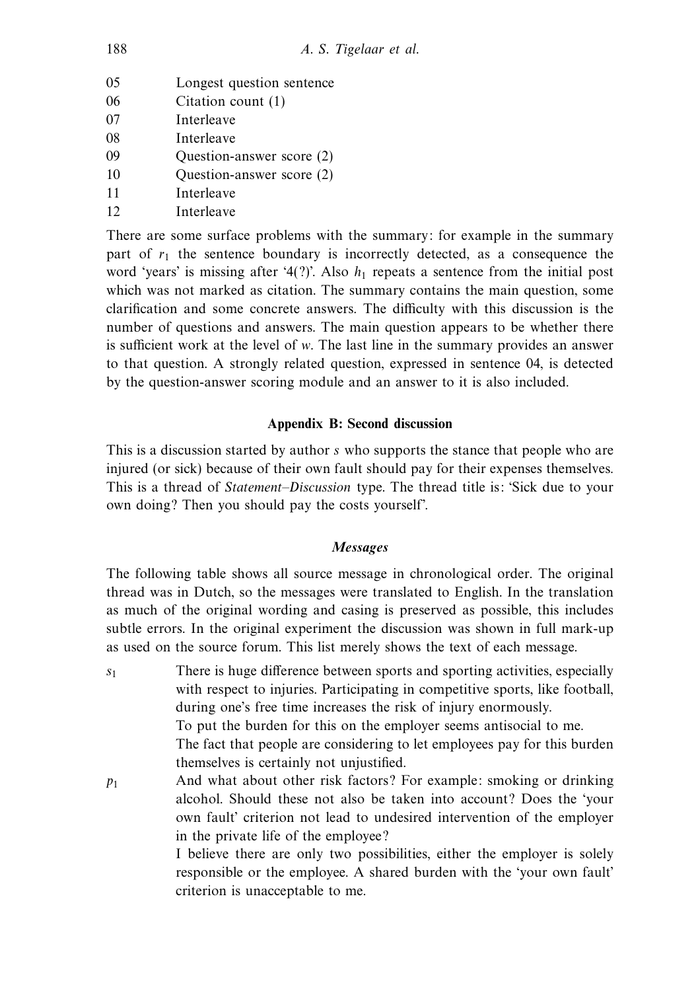| 05 | Longest question sentence |
|----|---------------------------|
| 06 | Citation count (1)        |
| 07 | Interleave                |
| 08 | Interleave                |
| 09 | Question-answer score (2) |
| 10 | Question-answer score (2) |
| 11 | Interleave                |
| 12 | Interleave                |
|    |                           |

There are some surface problems with the summary: for example in the summary part of  $r_1$  the sentence boundary is incorrectly detected, as a consequence the word 'years' is missing after '4(?)'. Also  $h_1$  repeats a sentence from the initial post which was not marked as citation. The summary contains the main question, some clarification and some concrete answers. The difficulty with this discussion is the number of questions and answers. The main question appears to be whether there is sufficient work at the level of w. The last line in the summary provides an answer to that question. A strongly related question, expressed in sentence 04, is detected by the question-answer scoring module and an answer to it is also included.

# **Appendix B: Second discussion**

This is a discussion started by author s who supports the stance that people who are injured (or sick) because of their own fault should pay for their expenses themselves. This is a thread of Statement–Discussion type. The thread title is: 'Sick due to your own doing? Then you should pay the costs yourself'.

## *Messages*

The following table shows all source message in chronological order. The original thread was in Dutch, so the messages were translated to English. In the translation as much of the original wording and casing is preserved as possible, this includes subtle errors. In the original experiment the discussion was shown in full mark-up as used on the source forum. This list merely shows the text of each message.

- *s*<sub>1</sub> There is huge difference between sports and sporting activities, especially with respect to injuries. Participating in competitive sports, like football, during one's free time increases the risk of injury enormously. To put the burden for this on the employer seems antisocial to me. The fact that people are considering to let employees pay for this burden themselves is certainly not unjustified.
- *p*<sup>1</sup> And what about other risk factors? For example: smoking or drinking alcohol. Should these not also be taken into account? Does the 'your own fault' criterion not lead to undesired intervention of the employer in the private life of the employee?

I believe there are only two possibilities, either the employer is solely responsible or the employee. A shared burden with the 'your own fault' criterion is unacceptable to me.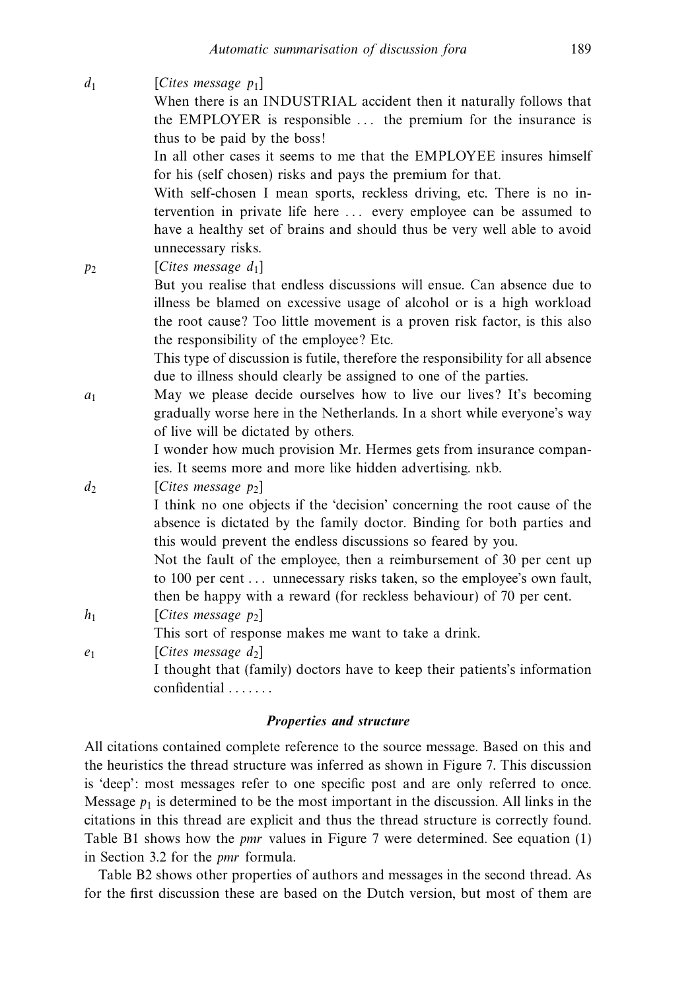*d*<sup>1</sup> [Cites message *p*1]

When there is an INDUSTRIAL accident then it naturally follows that the EMPLOYER is responsible . . . the premium for the insurance is thus to be paid by the boss!

In all other cases it seems to me that the EMPLOYEE insures himself for his (self chosen) risks and pays the premium for that.

With self-chosen I mean sports, reckless driving, etc. There is no intervention in private life here . . . every employee can be assumed to have a healthy set of brains and should thus be very well able to avoid unnecessary risks.

*p*<sup>2</sup> [Cites message *d*1]

But you realise that endless discussions will ensue. Can absence due to illness be blamed on excessive usage of alcohol or is a high workload the root cause? Too little movement is a proven risk factor, is this also the responsibility of the employee? Etc.

This type of discussion is futile, therefore the responsibility for all absence due to illness should clearly be assigned to one of the parties.

*a*<sup>1</sup> May we please decide ourselves how to live our lives? It's becoming gradually worse here in the Netherlands. In a short while everyone's way of live will be dictated by others.

> I wonder how much provision Mr. Hermes gets from insurance companies. It seems more and more like hidden advertising. nkb.

*d*<sub>2</sub> [Cites message *p*<sub>2</sub>]

I think no one objects if the 'decision' concerning the root cause of the absence is dictated by the family doctor. Binding for both parties and this would prevent the endless discussions so feared by you.

Not the fault of the employee, then a reimbursement of 30 per cent up to 100 per cent . . . unnecessary risks taken, so the employee's own fault, then be happy with a reward (for reckless behaviour) of 70 per cent.

 $h_1$  [Cites message  $p_2$ ]

This sort of response makes me want to take a drink.

 $e_1$  [Cites message  $d_2$ ]

I thought that (family) doctors have to keep their patients's information confidential . ......

## *Properties and structure*

All citations contained complete reference to the source message. Based on this and the heuristics the thread structure was inferred as shown in Figure 7. This discussion is 'deep': most messages refer to one specific post and are only referred to once. Message  $p_1$  is determined to be the most important in the discussion. All links in the citations in this thread are explicit and thus the thread structure is correctly found. Table B1 shows how the pmr values in Figure 7 were determined. See equation (1) in Section 3.2 for the pmr formula.

Table B2 shows other properties of authors and messages in the second thread. As for the first discussion these are based on the Dutch version, but most of them are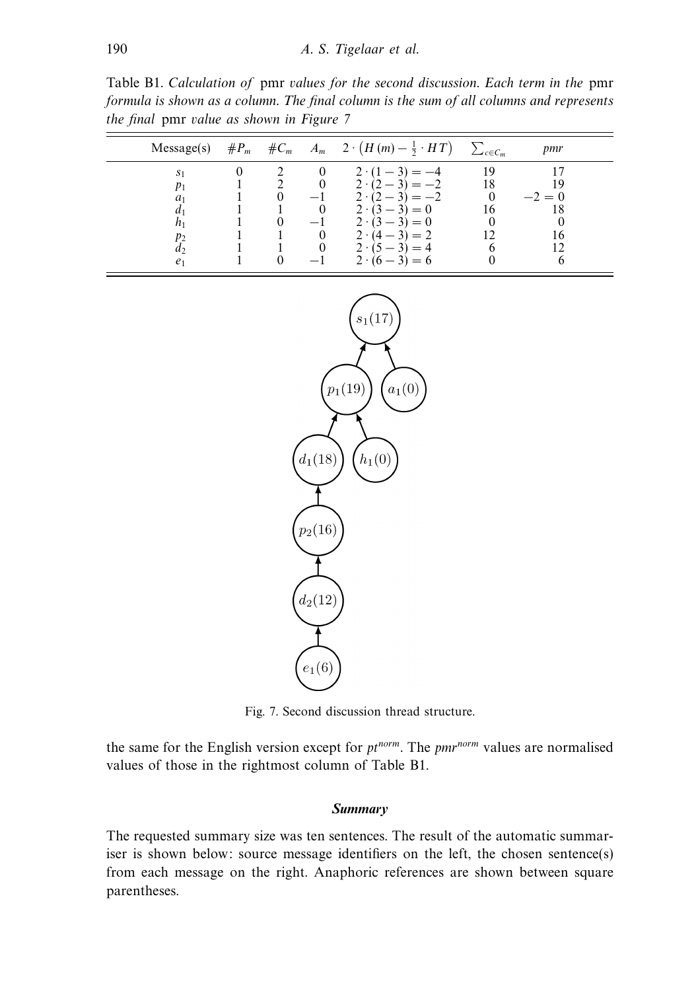Table B1. Calculation of pmr values for the second discussion. Each term in the pmr formula is shown as a column. The final column is the sum of all columns and represents the final pmr value as shown in Figure 7

| Message(s) $\#P_m$ $\#C_m$                                                                      |  |                   | $A_m$ 2 $\cdot$ $(H(m) - \frac{1}{2} \cdot HT)$                                                                                                                                                   | $\sum_{c \in C_m}$ | pmr                        |
|-------------------------------------------------------------------------------------------------|--|-------------------|---------------------------------------------------------------------------------------------------------------------------------------------------------------------------------------------------|--------------------|----------------------------|
| S <sub>1</sub><br>$p_1$<br>$a_1$<br>$a_{1}$<br>$n_{1}$<br>p <sub>2</sub><br>$d_{2}$<br>$\ell_1$ |  | $\mathbf{U}$<br>O | $2 \cdot (1-3) = -4$<br>$2 \cdot (2-3) = -2$<br>$2 \cdot (2 - 3) = -2$<br>$2 \cdot (3 - 3) = 0$<br>$2 \cdot (3 - 3) = 0$<br>$2 \cdot (4-3) = 2$<br>$2 \cdot (5 - 3) = 4$<br>$2 \cdot (6 - 3) = 6$ | 19<br>18<br>16     | 19<br>$-2 = 0$<br>18<br>16 |



Fig. 7. Second discussion thread structure.

the same for the English version except for *ptnorm*. The *pmrnorm* values are normalised values of those in the rightmost column of Table B1.

#### *Summary*

The requested summary size was ten sentences. The result of the automatic summariser is shown below: source message identifiers on the left, the chosen sentence(s) from each message on the right. Anaphoric references are shown between square parentheses.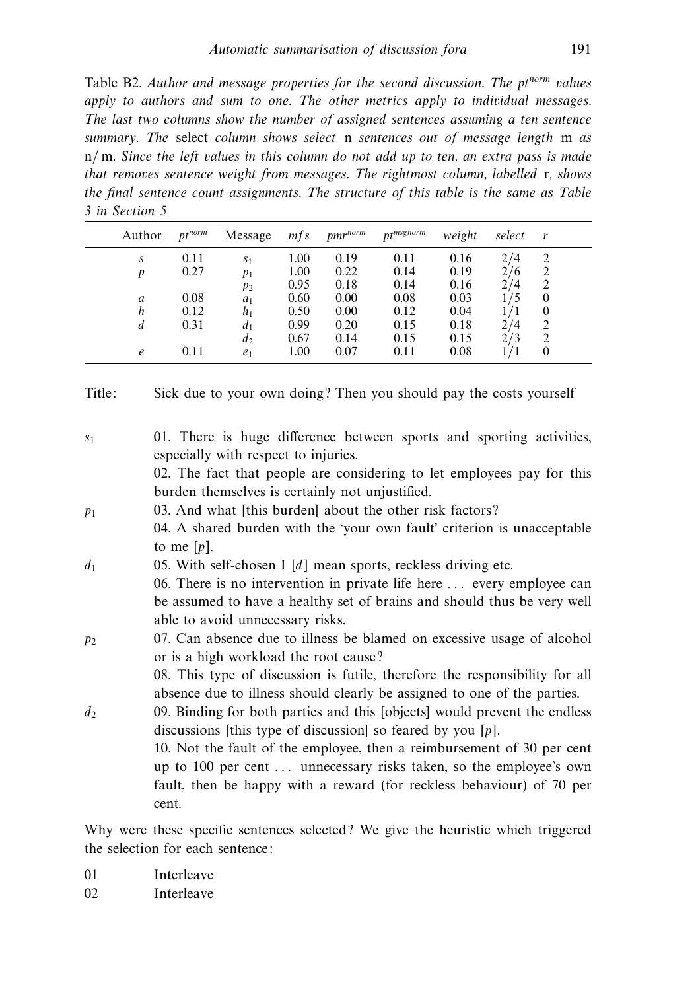Table B2. Author and message properties for the second discussion. The *pt<sup>norm</sup>* values apply to authors and sum to one. The other metrics apply to individual messages. The last two columns show the number of assigned sentences assuming a ten sentence summary. The select column shows select n sentences out of message length m as n/ m. Since the left values in this column do not add up to ten, an extra pass is made that removes sentence weight from messages. The rightmost column, labelled r, shows the final sentence count assignments. The structure of this table is the same as Table 3 in Section 5

| Author | $pt^{norm}$ | Message        | mfs  | $pmr^{norm}$ | $pt^{msgnorm}$ | weight | select | $\mathbf{r}$ |
|--------|-------------|----------------|------|--------------|----------------|--------|--------|--------------|
| S      | 0.11        | S <sub>1</sub> | 1.00 | 0.19         | 0.11           | 0.16   | 2/4    |              |
| p      | 0.27        | $p_1$          | 1.00 | 0.22         | 0.14           | 0.19   | 2/6    |              |
|        |             | $p_2$          | 0.95 | 0.18         | 0.14           | 0.16   | 274    |              |
| a      | 0.08        | $a_1$          | 0.60 | 0.00         | 0.08           | 0.03   |        | $\Omega$     |
| h      | 0.12        | $h_1$          | 0.50 | 0.00         | 0.12           | 0.04   |        | 0            |
| d      | 0.31        | a <sub>1</sub> | 0.99 | 0.20         | 0.15           | 0.18   | 2/4    |              |
|        |             | a <sub>2</sub> | 0.67 | 0.14         | 0.15           | 0.15   | 2/3    | C            |
| e      | 0.11        | e <sub>1</sub> | 1.00 | 0.07         | 0.11           | 0.08   |        | 0            |

| Title:         | Sick due to your own doing? Then you should pay the costs yourself                                           |
|----------------|--------------------------------------------------------------------------------------------------------------|
| S <sub>1</sub> | 01. There is huge difference between sports and sporting activities,<br>especially with respect to injuries. |
|                | 02. The fact that people are considering to let employees pay for this                                       |
|                | burden themselves is certainly not unjustified.                                                              |
| $p_1$          | 03. And what [this burden] about the other risk factors?                                                     |
|                | 04. A shared burden with the 'your own fault' criterion is unacceptable                                      |
|                | to me $[p]$ .                                                                                                |
| d <sub>1</sub> | 05. With self-chosen I $[d]$ mean sports, reckless driving etc.                                              |
|                | 06. There is no intervention in private life here  every employee can                                        |
|                | be assumed to have a healthy set of brains and should thus be very well                                      |
|                | able to avoid unnecessary risks.                                                                             |
| $p_2$          | 07. Can absence due to illness be blamed on excessive usage of alcohol                                       |
|                | or is a high workload the root cause?                                                                        |
|                | 08. This type of discussion is futile, therefore the responsibility for all                                  |
|                | absence due to illness should clearly be assigned to one of the parties.                                     |
| $d_2$          | 09. Binding for both parties and this [objects] would prevent the endless                                    |
|                | discussions [this type of discussion] so feared by you $[p]$ .                                               |
|                | 10. Not the fault of the employee, then a reimbursement of 30 per cent                                       |
|                | up to 100 per cent  unnecessary risks taken, so the employee's own                                           |
|                | fault, then be happy with a reward (for reckless behaviour) of 70 per<br>cent.                               |
|                | Why were these specific sentences selected? We give the heuristic which triggered                            |

Why were these specific sentences selected? We give the heuristic which triggered the selection for each sentence:

| $\Omega$ 1 | Interleave |
|------------|------------|
| 02         | Interleave |